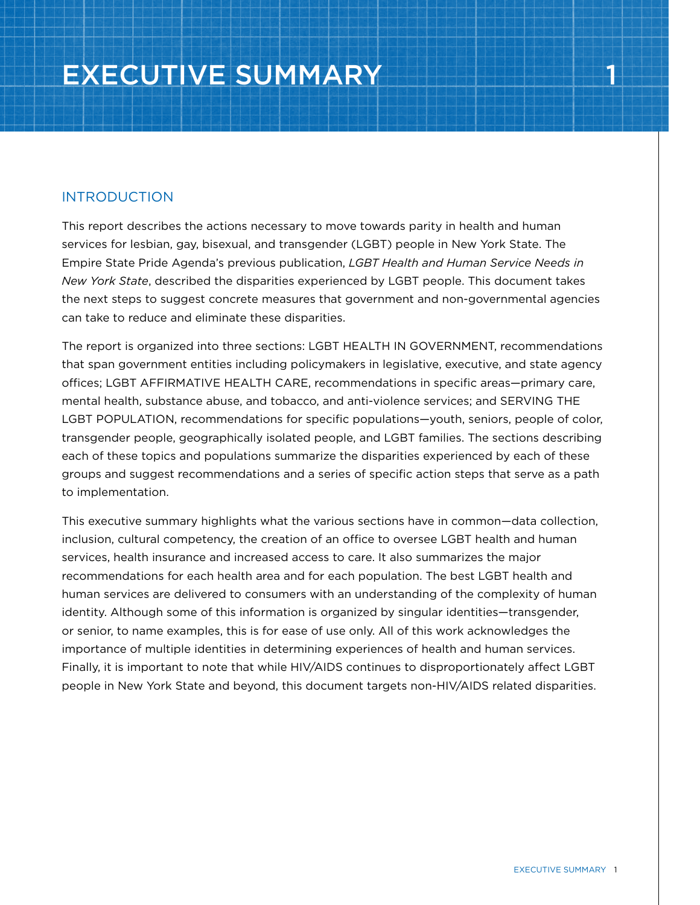# INTRODUCTION

This report describes the actions necessary to move towards parity in health and human services for lesbian, gay, bisexual, and transgender (LGBT) people in New York State. The Empire State Pride Agenda's previous publication, *LGBT Health and Human Service Needs in New York State*, described the disparities experienced by LGBT people. This document takes the next steps to suggest concrete measures that government and non-governmental agencies can take to reduce and eliminate these disparities.

The report is organized into three sections: LGBT HEALTH IN GOVERNMENT, recommendations that span government entities including policymakers in legislative, executive, and state agency offices; LGBT AFFIRMATIVE HEALTH CARE, recommendations in specific areas—primary care, mental health, substance abuse, and tobacco, and anti-violence services; and SERVING THE LGBT POPULATION, recommendations for specific populations—youth, seniors, people of color, transgender people, geographically isolated people, and LGBT families. The sections describing each of these topics and populations summarize the disparities experienced by each of these groups and suggest recommendations and a series of specific action steps that serve as a path to implementation.

This executive summary highlights what the various sections have in common—data collection, inclusion, cultural competency, the creation of an office to oversee LGBT health and human services, health insurance and increased access to care. It also summarizes the major recommendations for each health area and for each population. The best LGBT health and human services are delivered to consumers with an understanding of the complexity of human identity. Although some of this information is organized by singular identities—transgender, or senior, to name examples, this is for ease of use only. All of this work acknowledges the importance of multiple identities in determining experiences of health and human services. Finally, it is important to note that while HIV/AIDS continues to disproportionately affect LGBT people in New York State and beyond, this document targets non-HIV/AIDS related disparities.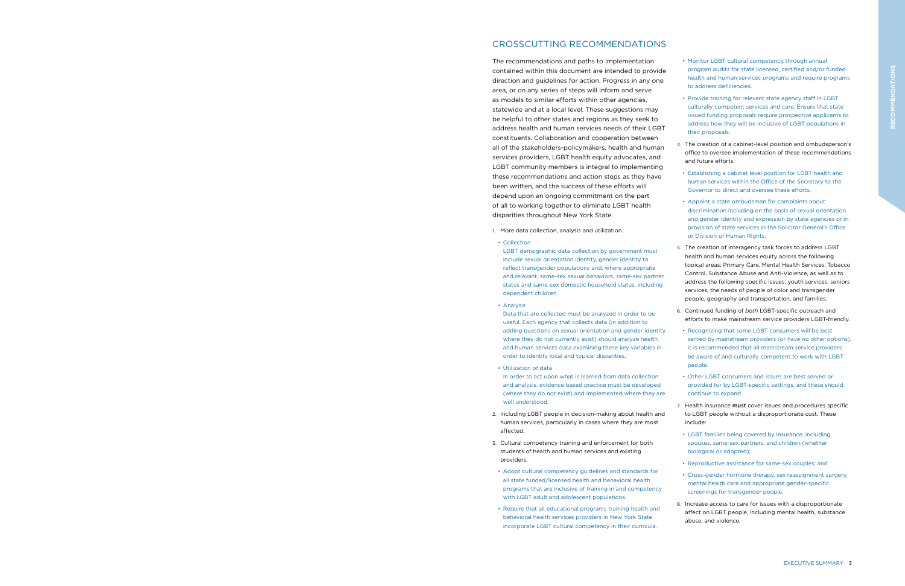# CROSSCUTTING RECOMMENDATIONS

The recommendations and paths to implementation contained within this document are intended to provide direction and guidelines for action. Progress in any one area, or on any series of steps will inform and serve as models to similar efforts within other agencies, statewide and at a local level. These suggestions may be helpful to other states and regions as they seek to address health and human services needs of their LGBT constituents. Collaboration and cooperation between all of the stakeholders-policymakers, health and human services providers, LGBT health equity advocates, and LGBT community members is integral to implementing these recommendations and action steps as they have been written, and the success of these efforts will depend upon an ongoing commitment on the part of all to working together to eliminate LGBT health disparities throughout New York State.

- 1. More data collection, analysis and utilization.
- Collection

LGBT demographic data collection by government must include sexual orientation identity, gender identity to reflect transgender populations and, where appropriate and relevant, same-sex sexual behaviors, same-sex partner status and same-sex domestic household status, including dependent children.

• Analysis

Data that are collected must be analyzed in order to be useful. Each agency that collects data (in addition to adding questions on sexual orientation and gender identity where they do not currently exist) should analyze health and human services data examining these key variables in order to identify local and topical disparities.

• Utilization of data

In order to act upon what is learned from data collection and analysis, evidence based practice must be developed (where they do not exist) and implemented where they are well understood.

- 2. Including LGBT people in decision-making about health and human services, particularly in cases where they are most affected.
- 3. Cultural competency training and enforcement for both students of health and human services and existing providers.
- Adopt cultural competency guidelines and standards for all state funded/licensed health and behavioral health programs that are inclusive of training in and competency with LGBT adult and adolescent populations.
- Require that all educational programs training health and behavioral health services providers in New York State incorporate LGBT cultural competency in their curricula.

7. Health insurance must cover issues and procedures specific to LGBT people without a disproportionate cost. These include:

• Monitor LGBT cultural competency through annual program audits for state licensed, certified and/or funded health and human services programs and require programs to address deficiencies.

• Provide training for relevant state agency staff in LGBT culturally competent services and care. Ensure that state issued funding proposals require prospective applicants to address how they will be inclusive of LGBT populations in their proposals.

4. The creation of a cabinet-level position and ombudsperson's office to oversee implementation of these recommendations and future efforts.

• Establishing a cabinet level position for LGBT health and human services within the Office of the Secretary to the Governor to direct and oversee these efforts.

• Appoint a state ombudsman for complaints about discrimination including on the basis of sexual orientation and gender identity and expression by state agencies or in provision of state services in the Solicitor General's Office or Division of Human Rights.

5. The creation of interagency task forces to address LGBT health and human services equity across the following topical areas: Primary Care, Mental Health Services, Tobacco Control, Substance Abuse and Anti-Violence, as well as to address the following specific issues: youth services, seniors services, the needs of people of color and transgender people, geography and transportation, and families.

6. Continued funding of *both* LGBT-specific outreach and efforts to make mainstream service providers LGBT-friendly.

• Recognizing that some LGBT consumers will be best served by mainstream providers (or have no other options), it is recommended that all mainstream service providers be aware of and culturally competent to work with LGBT people.

• Other LGBT consumers and issues are best served or provided for by LGBT-specific settings, and these should continue to expand.

• LGBT families being covered by insurance, including spouses, same-sex partners, and children (whether biological or adopted);

• Reproductive assistance for same-sex couples; and

• Cross-gender hormone therapy, sex reassignment surgery, mental health care and appropriate gender-specific screenings for transgender people.

8. Increase access to care for issues with a disproportionate affect on LGBT people, including mental health, substance abuse, and violence.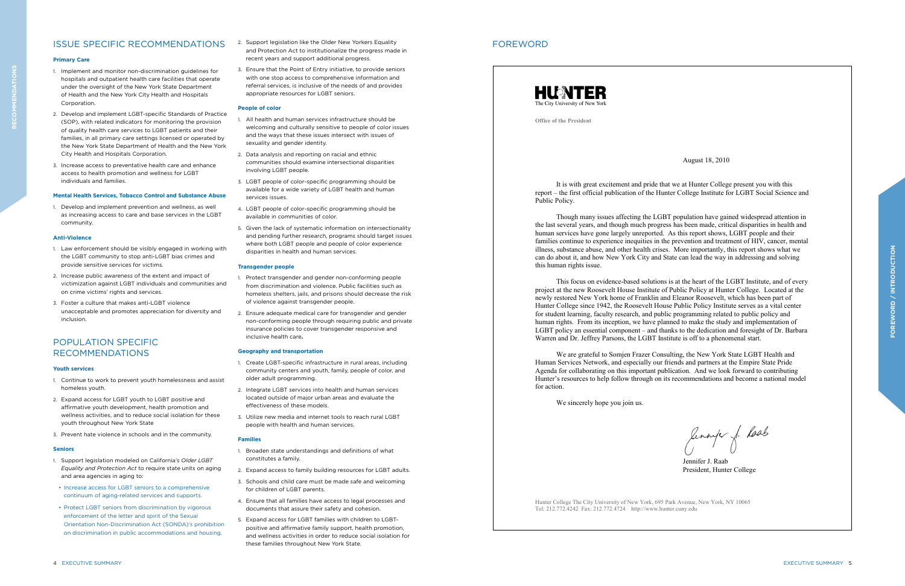# FOREWORD



**Office of the President**

Hunter College The City University of New York, 695 Park Avenue, New York, NY 10065 Tel: 212.772.4242 Fax: 212.772.4724 http://www.hunter.cuny.edu

August 18, 2010

It is with great excitement and pride that we at Hunter College present you with this report – the first official publication of the Hunter College Institute for LGBT Social Science and Public Policy.

Though many issues affecting the LGBT population have gained widespread attention in the last several years, and though much progress has been made, critical disparities in health and human services have gone largely unreported. As this report shows, LGBT people and their families continue to experience inequities in the prevention and treatment of HIV, cancer, mental illness, substance abuse, and other health crises. More importantly, this report shows what we can do about it, and how New York City and State can lead the way in addressing and solving this human rights issue.

lennye j. Laab Jennifer J. Raab President, Hunter College

This focus on evidence-based solutions is at the heart of the LGBT Institute, and of every project at the new Roosevelt House Institute of Public Policy at Hunter College. Located at the newly restored New York home of Franklin and Eleanor Roosevelt, which has been part of Hunter College since 1942, the Roosevelt House Public Policy Institute serves as a vital center for student learning, faculty research, and public programming related to public policy and human rights. From its inception, we have planned to make the study and implementation of LGBT policy an essential component – and thanks to the dedication and foresight of Dr. Barbara Warren and Dr. Jeffrey Parsons, the LGBT Institute is off to a phenomenal start.

We are grateful to Somjen Frazer Consulting, the New York State LGBT Health and Human Services Network, and especially our friends and partners at the Empire State Pride Agenda for collaborating on this important publication. And we look forward to contributing Hunter's resources to help follow through on its recommendations and become a national model for action.

We sincerely hope you join us.

# ISSUE SPECIFIC RECOMMENDATIONS

#### **Primary Care**

- 1. Implement and monitor non-discrimination guidelines for hospitals and outpatient health care facilities that operate under the oversight of the New York State Department of Health and the New York City Health and Hospitals Corporation.
- 2. Develop and implement LGBT-specific Standards of Practice (SOP), with related indicators for monitoring the provision of quality health care services to LGBT patients and their families, in all primary care settings licensed or operated by the New York State Department of Health and the New York City Health and Hospitals Corporation.
- 3. Increase access to preventative health care and enhance access to health promotion and wellness for LGBT individuals and families.

### **Mental Health Services, Tobacco Control and Substance Abuse**

1. Develop and implement prevention and wellness, as well as increasing access to care and base services in the LGBT community.

#### **Anti-Violence**

- 1. Law enforcement should be visibly engaged in working with the LGBT community to stop anti-LGBT bias crimes and provide sensitive services for victims.
- 2. Increase public awareness of the extent and impact of victimization against LGBT individuals and communities and on crime victims' rights and services.
- 3. Foster a culture that makes anti-LGBT violence unacceptable and promotes appreciation for diversity and inclusion.

# POPULATION SPECIFIC RECOMMENDATIONS

#### **Youth services**

- 1. Continue to work to prevent youth homelessness and assist homeless youth.
- 2. Expand access for LGBT youth to LGBT positive and affirmative youth development, health promotion and wellness activities, and to reduce social isolation for these youth throughout New York State
- 3. Prevent hate violence in schools and in the community.

#### **Seniors**

- 1. Support legislation modeled on California's *Older LGBT Equality and Protection Act* to require state units on aging and area agencies in aging to:
- Increase access for LGBT seniors to a comprehensive continuum of aging-related services and supports.
- Protect LGBT seniors from discrimination by vigorous enforcement of the letter and spirit of the Sexual Orientation Non-Discrimination Act (SONDA)'s prohibition on discrimination in public accommodations and housing.
- 2. Support legislation like the Older New Yorkers Equality and Protection Act to institutionalize the progress made in recent years and support additional progress.
- 3. Ensure that the Point of Entry initiative, to provide seniors with one stop access to comprehensive information and referral services, is inclusive of the needs of and provides appropriate resources for LGBT seniors.

#### **People of color**

- 1. All health and human services infrastructure should be welcoming and culturally sensitive to people of color issues and the ways that these issues intersect with issues of sexuality and gender identity.
- 2. Data analysis and reporting on racial and ethnic communities should examine intersectional disparities involving LGBT people.
- 3. LGBT people of color-specific programming should be available for a wide variety of LGBT health and human services issues.
- 4. LGBT people of color-specific programming should be available in communities of color.
- 5. Given the lack of systematic information on intersectionality and pending further research, programs should target issues where both LGBT people and people of color experience disparities in health and human services.

#### **Transgender people**

- 1. Protect transgender and gender non-conforming people from discrimination and violence. Public facilities such as homeless shelters, jails, and prisons should decrease the risk of violence against transgender people.
- 2. Ensure adequate medical care for transgender and gender non-conforming people through requiring public and private insurance policies to cover transgender responsive and inclusive health care**.**

#### **Geography and transportation**

- 1. Create LGBT-specific infrastructure in rural areas, including community centers and youth, family, people of color, and older adult programming.
- 2. Integrate LGBT services into health and human services located outside of major urban areas and evaluate the effectiveness of these models.
- 3. Utilize new media and internet tools to reach rural LGBT people with health and human services.

#### **Families**

- 1. Broaden state understandings and definitions of what constitutes a family.
- 2. Expand access to family building resources for LGBT adults.
- 3. Schools and child care must be made safe and welcoming for children of LGBT parents.
- 4. Ensure that all families have access to legal processes and documents that assure their safety and cohesion.
- 5. Expand access for LGBT families with children to LGBTpositive and affirmative family support, health promotion, and wellness activities in order to reduce social isolation for these families throughout New York State.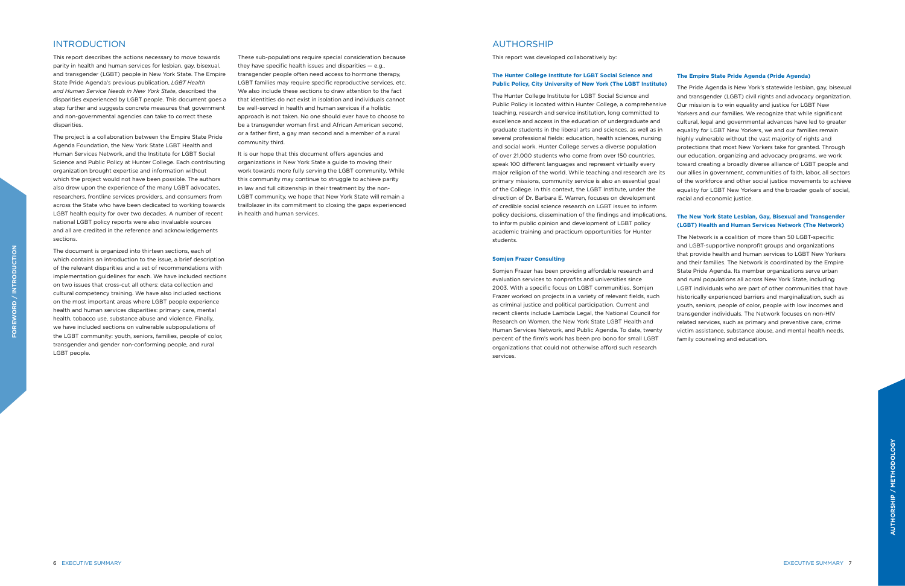# AUTHORSHIP

This report was developed collaboratively by:

#### **The Hunter College Institute for LGBT Social Science and Public Policy, City University of New York (The LGBT Institute)**

The Hunter College Institute for LGBT Social Science and Public Policy is located within Hunter College, a comprehensive teaching, research and service institution, long committed to excellence and access in the education of undergraduate and graduate students in the liberal arts and sciences, as well as in several professional fields: education, health sciences, nursing and social work. Hunter College serves a diverse population of over 21,000 students who come from over 150 countries, speak 100 different languages and represent virtually every major religion of the world. While teaching and research are its primary missions, community service is also an essential goal of the College. In this context, the LGBT Institute, under the direction of Dr. Barbara E. Warren, focuses on development of credible social science research on LGBT issues to inform policy decisions, dissemination of the findings and implications, to inform public opinion and development of LGBT policy academic training and practicum opportunities for Hunter students.

#### **Somjen Frazer Consulting**

Somjen Frazer has been providing affordable research and evaluation services to nonprofits and universities since 2003. With a specific focus on LGBT communities, Somjen Frazer worked on projects in a variety of relevant fields, such as criminal justice and political participation. Current and recent clients include Lambda Legal, the National Council for Research on Women, the New York State LGBT Health and Human Services Network, and Public Agenda. To date, twenty percent of the firm's work has been pro bono for small LGBT organizations that could not otherwise afford such research services.

#### **The Empire State Pride Agenda (Pride Agenda)**

The Pride Agenda is New York's statewide lesbian, gay, bisexual and transgender (LGBT) civil rights and advocacy organization. Our mission is to win equality and justice for LGBT New Yorkers and our families. We recognize that while significant cultural, legal and governmental advances have led to greater equality for LGBT New Yorkers, we and our families remain highly vulnerable without the vast majority of rights and protections that most New Yorkers take for granted. Through our education, organizing and advocacy programs, we work toward creating a broadly diverse alliance of LGBT people and our allies in government, communities of faith, labor, all sectors of the workforce and other social justice movements to achieve equality for LGBT New Yorkers and the broader goals of social, racial and economic justice.

### **The New York State Lesbian, Gay, Bisexual and Transgender (LGBT) Health and Human Services Network (The Network)**

The Network is a coalition of more than 50 LGBT-specific and LGBT-supportive nonprofit groups and organizations that provide health and human services to LGBT New Yorkers and their families. The Network is coordinated by the Empire State Pride Agenda. Its member organizations serve urban and rural populations all across New York State, including LGBT individuals who are part of other communities that have historically experienced barriers and marginalization, such as youth, seniors, people of color, people with low incomes and transgender individuals. The Network focuses on non-HIV related services, such as primary and preventive care, crime victim assistance, substance abuse, and mental health needs, family counseling and education.

# INTRODUCTION

This report describes the actions necessary to move towards parity in health and human services for lesbian, gay, bisexual, and transgender (LGBT) people in New York State. The Empire State Pride Agenda's previous publication, *LGBT Health and Human Service Needs in New York State*, described the disparities experienced by LGBT people. This document goes a step further and suggests concrete measures that government and non-governmental agencies can take to correct these disparities.

The project is a collaboration between the Empire State Pride Agenda Foundation, the New York State LGBT Health and Human Services Network, and the Institute for LGBT Social Science and Public Policy at Hunter College. Each contributing organization brought expertise and information without which the project would not have been possible. The authors also drew upon the experience of the many LGBT advocates, researchers, frontline services providers, and consumers from across the State who have been dedicated to working towards LGBT health equity for over two decades. A number of recent national LGBT policy reports were also invaluable sources and all are credited in the reference and acknowledgements sections.

The document is organized into thirteen sections, each of which contains an introduction to the issue, a brief description of the relevant disparities and a set of recommendations with implementation guidelines for each. We have included sections on two issues that cross-cut all others: data collection and cultural competency training. We have also included sections on the most important areas where LGBT people experience health and human services disparities: primary care, mental health, tobacco use, substance abuse and violence. Finally, we have included sections on vulnerable subpopulations of the LGBT community: youth, seniors, families, people of color, transgender and gender non-conforming people, and rural LGBT people.

These sub-populations require special consideration because they have specific health issues and disparities — e.g., transgender people often need access to hormone therapy, LGBT families may require specific reproductive services, etc. We also include these sections to draw attention to the fact that identities do not exist in isolation and individuals cannot be well-served in health and human services if a holistic approach is not taken. No one should ever have to choose to be a transgender woman first and African American second, or a father first, a gay man second and a member of a rural community third.

It is our hope that this document offers agencies and organizations in New York State a guide to moving their work towards more fully serving the LGBT community. While this community may continue to struggle to achieve parity in law and full citizenship in their treatment by the non-LGBT community, we hope that New York State will remain a trailblazer in its commitment to closing the gaps experienced in health and human services.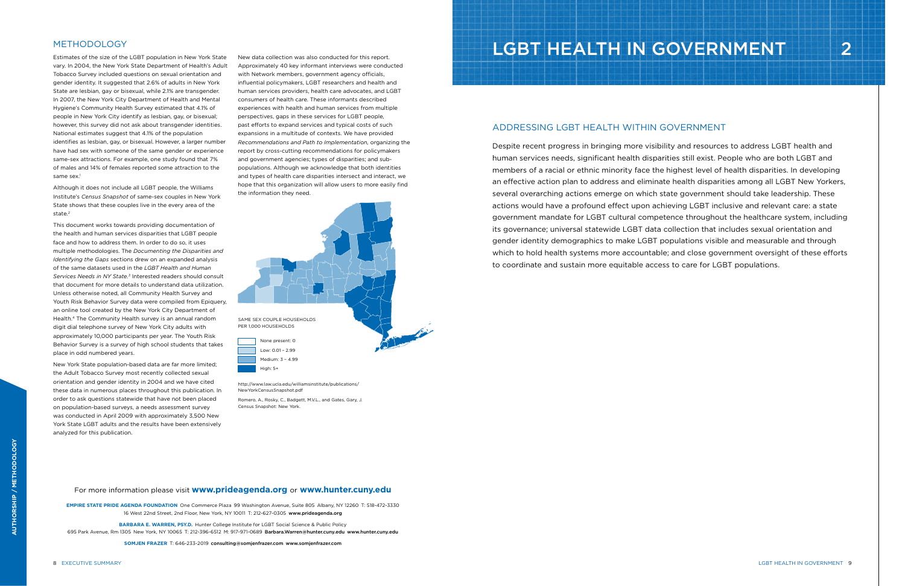Estimates of the size of the LGBT population in New York State vary. In 2004, the New York State Department of Health's Adult Tobacco Survey included questions on sexual orientation and gender identity. It suggested that 2.6% of adults in New York State are lesbian, gay or bisexual, while 2.1% are transgender. In 2007, the New York City Department of Health and Mental Hygiene's Community Health Survey estimated that 4.1% of people in New York City identify as lesbian, gay, or bisexual; however, this survey did not ask about transgender identities. National estimates suggest that 4.1% of the population identifies as lesbian, gay, or bisexual. However, a larger number have had sex with someone of the same gender or experience same-sex attractions. For example, one study found that 7% of males and 14% of females reported some attraction to the same sex.<sup>1</sup>

# METHODOLOGY

Although it does not include all LGBT people, the Williams Institute's *Census Snapshot* of same-sex couples in New York State shows that these couples live in the every area of the state.<sup>2</sup>

This document works towards providing documentation of the health and human services disparities that LGBT people face and how to address them. In order to do so, it uses multiple methodologies. The *Documenting the Disparities and Identifying the Gaps* sections drew on an expanded analysis of the same datasets used in the *LGBT Health and Human Services Needs in NY State.3* Interested readers should consult that document for more details to understand data utilization. Unless otherwise noted, all Community Health Survey and Youth Risk Behavior Survey data were compiled from Epiquery, an online tool created by the New York City Department of Health.4 The Community Health survey is an annual random digit dial telephone survey of New York City adults with approximately 10,000 participants per year. The Youth Risk Behavior Survey is a survey of high school students that takes place in odd numbered years.

> http://www.law.ucla.edu/williamsinstitute/publications/ NewYorkCensusSnapshot.pdf

New York State population-based data are far more limited; the Adult Tobacco Survey most recently collected sexual orientation and gender identity in 2004 and we have cited these data in numerous places throughout this publication. In order to ask questions statewide that have not been placed on population-based surveys, a needs assessment survey was conducted in April 2009 with approximately 3,500 New York State LGBT adults and the results have been extensively analyzed for this publication.

New data collection was also conducted for this report. Approximately 40 key informant interviews were conducted with Network members, government agency officials, influential policymakers, LGBT researchers and health and human services providers, health care advocates, and LGBT consumers of health care. These informants described experiences with health and human services from multiple perspectives, gaps in these services for LGBT people, past efforts to expand services and typical costs of such expansions in a multitude of contexts. We have provided *Recommendations and Path to Implementation,* organizing the report by cross-cutting recommendations for policymakers and government agencies; types of disparities; and subpopulations. Although we acknowledge that both identities and types of health care disparities intersect and interact, we hope that this organization will allow users to more easily find the information they need.

For more information please visit **www.prideagenda.org** or **www.hunter.cuny.edu**

**EMPIRE STATE PRIDE AGENDA FOUNDATION** One Commerce Plaza 99 Washington Avenue, Suite 805 Albany, NY 12260 T: 518-472-3330 16 West 22nd Street, 2nd Floor, New York, NY 10011 T: 212-627-0305 www.prideagenda.org

**BARBARA E. WARREN, PSY.D.** Hunter College Institute for LGBT Social Science & Public Policy

695 Park Avenue, Rm 1305 New York, NY 10065 T: 212-396-6512 M: 917-971-0689 Barbara.Warren@hunter.cuny.edu www.hunter.cuny.edu

**SOMJEN FRAZER** T: 646-233-2019 consulting@somjenfrazer.com www.somjenfrazer.com



Romero, A., Rosky, C., Badgett, M.V.L., and Gates, Gary, J. Census Snapshot: New York.

# LGBT HEALTH IN GOVERNMENT | | | | 2

# ADDRESSING LGBT HEALTH WITHIN GOVERNMENT

Despite recent progress in bringing more visibility and resources to address LGBT health and human services needs, significant health disparities still exist. People who are both LGBT and members of a racial or ethnic minority face the highest level of health disparities. In developing an effective action plan to address and eliminate health disparities among all LGBT New Yorkers, several overarching actions emerge on which state government should take leadership. These actions would have a profound effect upon achieving LGBT inclusive and relevant care: a state government mandate for LGBT cultural competence throughout the healthcare system, including its governance; universal statewide LGBT data collection that includes sexual orientation and gender identity demographics to make LGBT populations visible and measurable and through which to hold health systems more accountable; and close government oversight of these efforts to coordinate and sustain more equitable access to care for LGBT populations.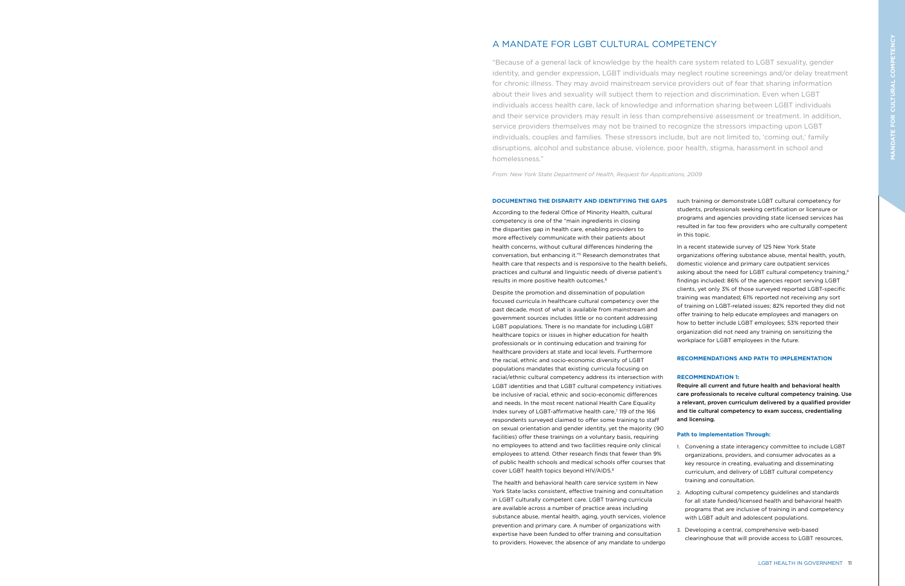Despite the promotion and dissemination of population focused curricula in healthcare cultural competency over the past decade, most of what is available from mainstream and government sources includes little or no content addressing LGBT populations. There is no mandate for including LGBT healthcare topics or issues in higher education for health professionals or in continuing education and training for healthcare providers at state and local levels. Furthermore the racial, ethnic and socio-economic diversity of LGBT populations mandates that existing curricula focusing on racial/ethnic cultural competency address its intersection with LGBT identities and that LGBT cultural competency initiatives be inclusive of racial, ethnic and socio-economic differences and needs. In the most recent national Health Care Equality Index survey of LGBT-affirmative health care,<sup>7</sup> 119 of the 166 respondents surveyed claimed to offer some training to staff on sexual orientation and gender identity, yet the majority (90 facilities) offer these trainings on a voluntary basis, requiring no employees to attend and two facilities require only clinical employees to attend. Other research finds that fewer than 9% of public health schools and medical schools offer courses that cover LGBT health topics beyond HIV/AIDS.<sup>8</sup>

According to the federal Office of Minority Health, cultural competency is one of the "main ingredients in closing the disparities gap in health care, enabling providers to more effectively communicate with their patients about health concerns, without cultural differences hindering the conversation, but enhancing it."5 Research demonstrates that health care that respects and is responsive to the health beliefs, practices and cultural and linguistic needs of diverse patient's results in more positive health outcomes.6

The health and behavioral health care service system in New York State lacks consistent, effective training and consultation in LGBT culturally competent care. LGBT training curricula are available across a number of practice areas including substance abuse, mental health, aging, youth services, violence prevention and primary care. A number of organizations with expertise have been funded to offer training and consultation to providers. However, the absence of any mandate to undergo

such training or demonstrate LGBT cultural competency for students, professionals seeking certification or licensure or programs and agencies providing state licensed services has resulted in far too few providers who are culturally competent in this topic.

In a recent statewide survey of 125 New York State organizations offering substance abuse, mental health, youth, domestic violence and primary care outpatient services asking about the need for LGBT cultural competency training,<sup>9</sup> findings included: 86% of the agencies report serving LGBT clients, yet only 3% of those surveyed reported LGBT-specific training was mandated; 61% reported not receiving any sort of training on LGBT-related issues; 82% reported they did not offer training to help educate employees and managers on how to better include LGBT employees; 53% reported their organization did not need any training on sensitizing the workplace for LGBT employees in the future.

#### **RECOMMENDATIONS AND PATH TO IMPLEMENTATION**

### **RECOMMENDATION 1:**

Require all current and future health and behavioral health care professionals to receive cultural competency training. Use a relevant, proven curriculum delivered by a qualified provider and tie cultural competency to exam success, credentialing and licensing.

# **Path to Implementation Through:**

1. Convening a state interagency committee to include LGBT organizations, providers, and consumer advocates as a key resource in creating, evaluating and disseminating curriculum, and delivery of LGBT cultural competency training and consultation. 2. Adopting cultural competency guidelines and standards for all state funded/licensed health and behavioral health programs that are inclusive of training in and competency with LGBT adult and adolescent populations.

3. Developing a central, comprehensive web-based clearinghouse that will provide access to LGBT resources,

# A MANDATE FOR LGBT CULTURAL COMPETENCY

"Because of a general lack of knowledge by the health care system related to LGBT sexuality, gender identity, and gender expression, LGBT individuals may neglect routine screenings and/or delay treatment for chronic illness. They may avoid mainstream service providers out of fear that sharing information about their lives and sexuality will subject them to rejection and discrimination. Even when LGBT individuals access health care, lack of knowledge and information sharing between LGBT individuals and their service providers may result in less than comprehensive assessment or treatment. In addition, service providers themselves may not be trained to recognize the stressors impacting upon LGBT individuals, couples and families. These stressors include, but are not limited to, 'coming out,' family disruptions, alcohol and substance abuse, violence, poor health, stigma, harassment in school and homelessness."

*From: New York State Department of Health, Request for Applications, 2009*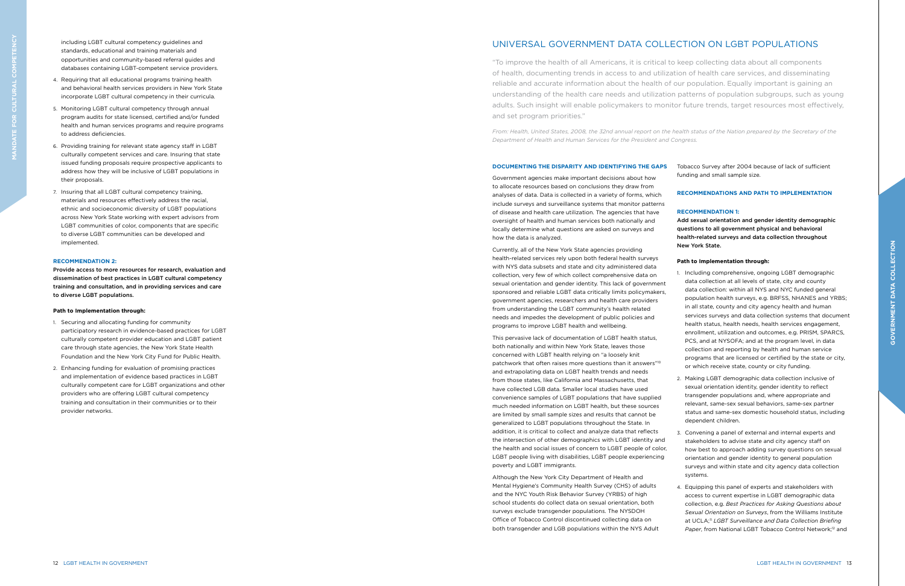Government agencies make important decisions about how to allocate resources based on conclusions they draw from analyses of data. Data is collected in a variety of forms, which include surveys and surveillance systems that monitor patterns of disease and health care utilization. The agencies that have oversight of health and human services both nationally and locally determine what questions are asked on surveys and how the data is analyzed.

Currently, all of the New York State agencies providing health-related services rely upon both federal health surveys with NYS data subsets and state and city administered data collection, very few of which collect comprehensive data on sexual orientation and gender identity. This lack of government sponsored and reliable LGBT data critically limits policymakers, government agencies, researchers and health care providers from understanding the LGBT community's health related needs and impedes the development of public policies and programs to improve LGBT health and wellbeing.

#### **DOCUMENTING THE DISPARITY AND IDENTIFYING THE GAPS**  Tobacco Survey after 2004 because of lack of sufficient

This pervasive lack of documentation of LGBT health status, both nationally and within New York State, leaves those concerned with LGBT health relying on "a loosely knit patchwork that often raises more questions than it answers"10 and extrapolating data on LGBT health trends and needs from those states, like California and Massachusetts, that have collected LGB data. Smaller local studies have used convenience samples of LGBT populations that have supplied much needed information on LGBT health, but these sources are limited by small sample sizes and results that cannot be generalized to LGBT populations throughout the State. In addition, it is critical to collect and analyze data that reflects the intersection of other demographics with LGBT identity and the health and social issues of concern to LGBT people of color, LGBT people living with disabilities, LGBT people experiencing poverty and LGBT immigrants.

> 4. Equipping this panel of experts and stakeholders with access to current expertise in LGBT demographic data collection, e.g. *Best Practices for Asking Questions about Sexual Orientation on Surveys*, from the Williams Institute at UCLA;11 *LGBT Surveillance and Data Collection Briefing*  Paper, from National LGBT Tobacco Control Network;<sup>12</sup> and

Although the New York City Department of Health and Mental Hygiene's Community Health Survey (CHS) of adults and the NYC Youth Risk Behavior Survey (YRBS) of high school students do collect data on sexual orientation, both surveys exclude transgender populations. The NYSDOH Office of Tobacco Control discontinued collecting data on both transgender and LGB populations within the NYS Adult funding and small sample size.

### **RECOMMENDATIONS AND PATH TO IMPLEMENTATION**

### **RECOMMENDATION 1:**

Add sexual orientation and gender identity demographic questions to all government physical and behavioral health-related surveys and data collection throughout New York State.

### **Path to Implementation through:**

1. Including comprehensive, ongoing LGBT demographic data collection at all levels of state, city and county data collection: within all NYS and NYC funded general population health surveys, e.g. BRFSS, NHANES and YRBS; in all state, county and city agency health and human services surveys and data collection systems that document health status, health needs, health services engagement, enrollment, utilization and outcomes, e.g. PRISM, SPARCS, PCS, and at NYSOFA; and at the program level, in data collection and reporting by health and human service programs that are licensed or certified by the state or city, or which receive state, county or city funding.

2. Making LGBT demographic data collection inclusive of sexual orientation identity, gender identity to reflect transgender populations and, where appropriate and relevant, same-sex sexual behaviors, same-sex partner status and same-sex domestic household status, including dependent children.

3. Convening a panel of external and internal experts and stakeholders to advise state and city agency staff on how best to approach adding survey questions on sexual orientation and gender identity to general population surveys and within state and city agency data collection systems.

# UNIVERSAL GOVERNMENT DATA COLLECTION ON LGBT POPULATIONS

"To improve the health of all Americans, it is critical to keep collecting data about all components of health, documenting trends in access to and utilization of health care services, and disseminating reliable and accurate information about the health of our population. Equally important is gaining an understanding of the health care needs and utilization patterns of population subgroups, such as young adults. Such insight will enable policymakers to monitor future trends, target resources most effectively, and set program priorities."

*From: Health, United States, 2008, the 32nd annual report on the health status of the Nation prepared by the Secretary of the Department of Health and Human Services for the President and Congress.* 

including LGBT cultural competency guidelines and standards, educational and training materials and opportunities and community-based referral guides and databases containing LGBT-competent service providers.

- 4. Requiring that all educational programs training health and behavioral health services providers in New York State incorporate LGBT cultural competency in their curricula.
- 5. Monitoring LGBT cultural competency through annual program audits for state licensed, certified and/or funded health and human services programs and require programs to address deficiencies.
- 6. Providing training for relevant state agency staff in LGBT culturally competent services and care. Insuring that state issued funding proposals require prospective applicants to address how they will be inclusive of LGBT populations in their proposals.
- 7. Insuring that all LGBT cultural competency training, materials and resources effectively address the racial, ethnic and socioeconomic diversity of LGBT populations across New York State working with expert advisors from LGBT communities of color, components that are specific to diverse LGBT communities can be developed and implemented.

#### **RECOMMENDATION 2:**

Provide access to more resources for research, evaluation and dissemination of best practices in LGBT cultural competency training and consultation, and in providing services and care to diverse LGBT populations.

#### **Path to Implementation through:**

- 1. Securing and allocating funding for community participatory research in evidence-based practices for LGBT culturally competent provider education and LGBT patient care through state agencies, the New York State Health Foundation and the New York City Fund for Public Health.
- 2. Enhancing funding for evaluation of promising practices and implementation of evidence based practices in LGBT culturally competent care for LGBT organizations and other providers who are offering LGBT cultural competency training and consultation in their communities or to their provider networks.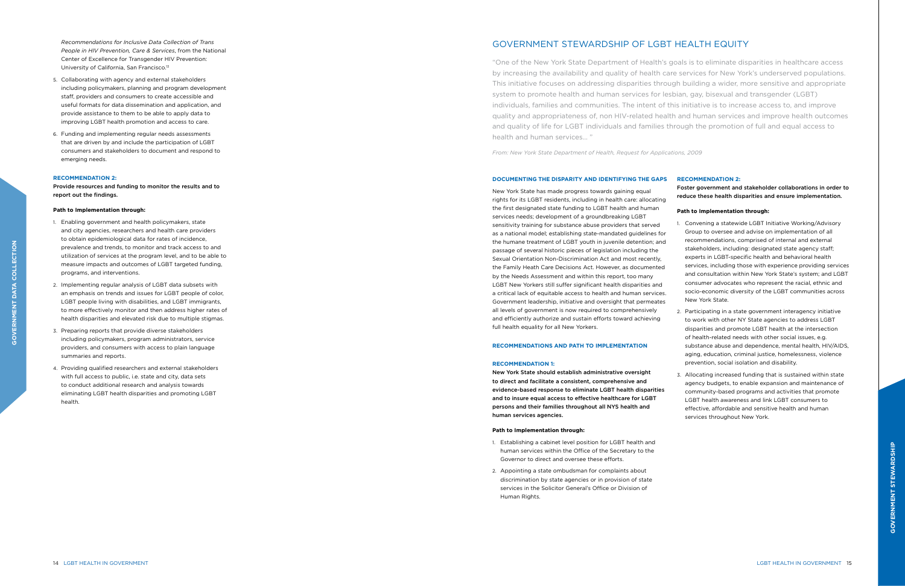New York State has made progress towards gaining equal rights for its LGBT residents, including in health care: allocating the first designated state funding to LGBT health and human services needs; development of a groundbreaking LGBT sensitivity training for substance abuse providers that served as a national model; establishing state-mandated guidelines for the humane treatment of LGBT youth in juvenile detention; and passage of several historic pieces of legislation including the Sexual Orientation Non-Discrimination Act and most recently, the Family Heath Care Decisions Act. However, as documented by the Needs Assessment and within this report, too many LGBT New Yorkers still suffer significant health disparities and a critical lack of equitable access to health and human services. Government leadership, initiative and oversight that permeates all levels of government is now required to comprehensively and efficiently authorize and sustain efforts toward achieving full health equality for all New Yorkers.

#### **RECOMMENDATIONS AND PATH TO IMPLEMENTATION**

#### **RECOMMENDATION 1:**

New York State should establish administrative oversight to direct and facilitate a consistent, comprehensive and evidence-based response to eliminate LGBT health disparities and to insure equal access to effective healthcare for LGBT persons and their families throughout all NYS health and human services agencies.

#### **Path to Implementation through:**

- 1. Establishing a cabinet level position for LGBT health and human services within the Office of the Secretary to the Governor to direct and oversee these efforts.
- 2. Appointing a state ombudsman for complaints about discrimination by state agencies or in provision of state services in the Solicitor General's Office or Division of Human Rights.

### **RECOMMENDATION 2:**

Foster government and stakeholder collaborations in order to reduce these health disparities and ensure implementation.

### **Path to Implementation through:**

1. Convening a statewide LGBT Initiative Working/Advisory Group to oversee and advise on implementation of all recommendations, comprised of internal and external stakeholders, including: designated state agency staff; experts in LGBT-specific health and behavioral health services, including those with experience providing services and consultation within New York State's system; and LGBT consumer advocates who represent the racial, ethnic and socio-economic diversity of the LGBT communities across New York State.

2. Participating in a state government interagency initiative to work with other NY State agencies to address LGBT disparities and promote LGBT health at the intersection of health-related needs with other social issues, e.g. substance abuse and dependence, mental health, HIV/AIDS, aging, education, criminal justice, homelessness, violence prevention, social isolation and disability.

3. Allocating increased funding that is sustained within state agency budgets, to enable expansion and maintenance of community-based programs and activities that promote LGBT health awareness and link LGBT consumers to effective, affordable and sensitive health and human services throughout New York.

# GOVERNMENT STEWARDSHIP OF LGBT HEALTH EQUITY

"One of the New York State Department of Health's goals is to eliminate disparities in healthcare access by increasing the availability and quality of health care services for New York's underserved populations. This initiative focuses on addressing disparities through building a wider, more sensitive and appropriate system to promote health and human services for lesbian, gay, bisexual and transgender (LGBT) individuals, families and communities. The intent of this initiative is to increase access to, and improve quality and appropriateness of, non HIV-related health and human services and improve health outcomes and quality of life for LGBT individuals and families through the promotion of full and equal access to health and human services… "

*From: New York State Department of Health, Request for Applications, 2009* 

*Recommendations for Inclusive Data Collection of Trans People in HIV Prevention, Care & Services*, from the National Center of Excellence for Transgender HIV Prevention: University of California, San Francisco.13

- 5. Collaborating with agency and external stakeholders including policymakers, planning and program development staff, providers and consumers to create accessible and useful formats for data dissemination and application, and provide assistance to them to be able to apply data to improving LGBT health promotion and access to care.
- 6. Funding and implementing regular needs assessments that are driven by and include the participation of LGBT consumers and stakeholders to document and respond to emerging needs.

#### **RECOMMENDATION 2:**

Provide resources and funding to monitor the results and to report out the findings.

#### **Path to Implementation through:**

- 1. Enabling government and health policymakers, state and city agencies, researchers and health care providers to obtain epidemiological data for rates of incidence, prevalence and trends, to monitor and track access to and utilization of services at the program level, and to be able to measure impacts and outcomes of LGBT targeted funding, programs, and interventions.
- 2. Implementing regular analysis of LGBT data subsets with an emphasis on trends and issues for LGBT people of color, LGBT people living with disabilities, and LGBT immigrants, to more effectively monitor and then address higher rates of health disparities and elevated risk due to multiple stigmas.
- 3. Preparing reports that provide diverse stakeholders including policymakers, program administrators, service providers, and consumers with access to plain language summaries and reports.
- 4. Providing qualified researchers and external stakeholders with full access to public, i.e. state and city, data sets to conduct additional research and analysis towards eliminating LGBT health disparities and promoting LGBT health.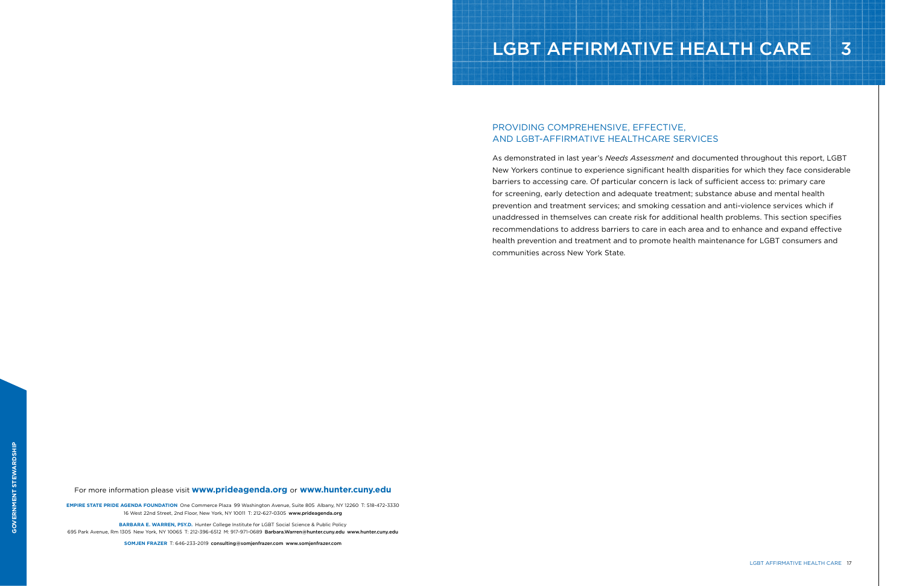For more information please visit **www.prideagenda.org** or **www.hunter.cuny.edu**

**EMPIRE STATE PRIDE AGENDA FOUNDATION** One Commerce Plaza 99 Washington Avenue, Suite 805 Albany, NY 12260 T: 518-472-3330 16 West 22nd Street, 2nd Floor, New York, NY 10011 T: 212-627-0305 www.prideagenda.org

**BARBARA E. WARREN, PSY.D.** Hunter College Institute for LGBT Social Science & Public Policy

695 Park Avenue, Rm 1305 New York, NY 10065 T: 212-396-6512 M: 917-971-0689 Barbara.Warren@hunter.cuny.edu www.hunter.cuny.edu

**SOMJEN FRAZER** T: 646-233-2019 consulting@somjenfrazer.com www.somjenfrazer.com

# LGBT AFFIRMATIVE HEALTH CARE 3

# PROVIDING COMPREHENSIVE, EFFECTIVE, AND LGBT-AFFIRMATIVE HEALTHCARE SERVICES

As demonstrated in last year's *Needs Assessment* and documented throughout this report, LGBT New Yorkers continue to experience significant health disparities for which they face considerable barriers to accessing care. Of particular concern is lack of sufficient access to: primary care for screening, early detection and adequate treatment; substance abuse and mental health prevention and treatment services; and smoking cessation and anti-violence services which if unaddressed in themselves can create risk for additional health problems. This section specifies recommendations to address barriers to care in each area and to enhance and expand effective health prevention and treatment and to promote health maintenance for LGBT consumers and communities across New York State.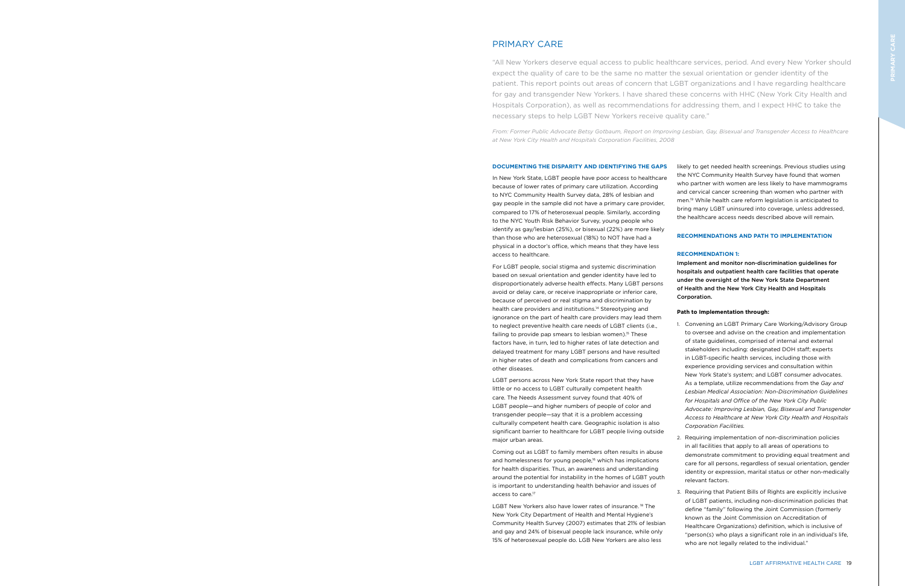In New York State, LGBT people have poor access to healthcare because of lower rates of primary care utilization. According to NYC Community Health Survey data, 28% of lesbian and gay people in the sample did not have a primary care provider, compared to 17% of heterosexual people. Similarly, according to the NYC Youth Risk Behavior Survey, young people who identify as gay/lesbian (25%), or bisexual (22%) are more likely than those who are heterosexual (18%) to NOT have had a physical in a doctor's office, which means that they have less access to healthcare.

For LGBT people, social stigma and systemic discrimination based on sexual orientation and gender identity have led to disproportionately adverse health effects. Many LGBT persons avoid or delay care, or receive inappropriate or inferior care, because of perceived or real stigma and discrimination by health care providers and institutions.<sup>14</sup> Stereotyping and ignorance on the part of health care providers may lead them to neglect preventive health care needs of LGBT clients (i.e., failing to provide pap smears to lesbian women).<sup>15</sup> These factors have, in turn, led to higher rates of late detection and delayed treatment for many LGBT persons and have resulted in higher rates of death and complications from cancers and other diseases.

LGBT New Yorkers also have lower rates of insurance.<sup>18</sup> The New York City Department of Health and Mental Hygiene's Community Health Survey (2007) estimates that 21% of lesbian and gay and 24% of bisexual people lack insurance, while only 15% of heterosexual people do. LGB New Yorkers are also less

LGBT persons across New York State report that they have little or no access to LGBT culturally competent health care. The Needs Assessment survey found that 40% of LGBT people—and higher numbers of people of color and transgender people—say that it is a problem accessing culturally competent health care. Geographic isolation is also significant barrier to healthcare for LGBT people living outside major urban areas.

Coming out as LGBT to family members often results in abuse and homelessness for young people,<sup>16</sup> which has implications for health disparities. Thus, an awareness and understanding around the potential for instability in the homes of LGBT youth is important to understanding health behavior and issues of access to care.17

likely to get needed health screenings. Previous studies using the NYC Community Health Survey have found that women who partner with women are less likely to have mammograms and cervical cancer screening than women who partner with men.19 While health care reform legislation is anticipated to bring many LGBT uninsured into coverage, unless addressed, the healthcare access needs described above will remain.

#### **RECOMMENDATIONS AND PATH TO IMPLEMENTATION**

#### **RECOMMENDATION 1:**

Implement and monitor non-discrimination guidelines for hospitals and outpatient health care facilities that operate under the oversight of the New York State Department of Health and the New York City Health and Hospitals Corporation.

- 
- 
- 
- 

#### **Path to Implementation through:**

1. Convening an LGBT Primary Care Working/Advisory Group to oversee and advise on the creation and implementation of state guidelines, comprised of internal and external stakeholders including: designated DOH staff; experts in LGBT-specific health services, including those with experience providing services and consultation within New York State's system; and LGBT consumer advocates. As a template, utilize recommendations from the *Gay and Lesbian Medical Association: Non-Discrimination Guidelines for Hospitals and Office of the New York City Public Advocate: Improving Lesbian, Gay, Bisexual and Transgender Access to Healthcare at New York City Health and Hospitals Corporation Facilities.* 

2. Requiring implementation of non-discrimination policies in all facilities that apply to all areas of operations to demonstrate commitment to providing equal treatment and care for all persons, regardless of sexual orientation, gender identity or expression, marital status or other non-medically relevant factors.

3. Requiring that Patient Bills of Rights are explicitly inclusive of LGBT patients, including non-discrimination policies that define "family" following the Joint Commission (formerly known as the Joint Commission on Accreditation of Healthcare Organizations) definition, which is inclusive of "person(s) who plays a significant role in an individual's life, who are not legally related to the individual."

# PRIMARY CARE

"All New Yorkers deserve equal access to public healthcare services, period. And every New Yorker should expect the quality of care to be the same no matter the sexual orientation or gender identity of the patient. This report points out areas of concern that LGBT organizations and I have regarding healthcare for gay and transgender New Yorkers. I have shared these concerns with HHC (New York City Health and Hospitals Corporation), as well as recommendations for addressing them, and I expect HHC to take the necessary steps to help LGBT New Yorkers receive quality care."

*From: Former Public Advocate Betsy Gotbaum, Report on Improving Lesbian, Gay, Bisexual and Transgender Access to Healthcare at New York City Health and Hospitals Corporation Facilities, 2008*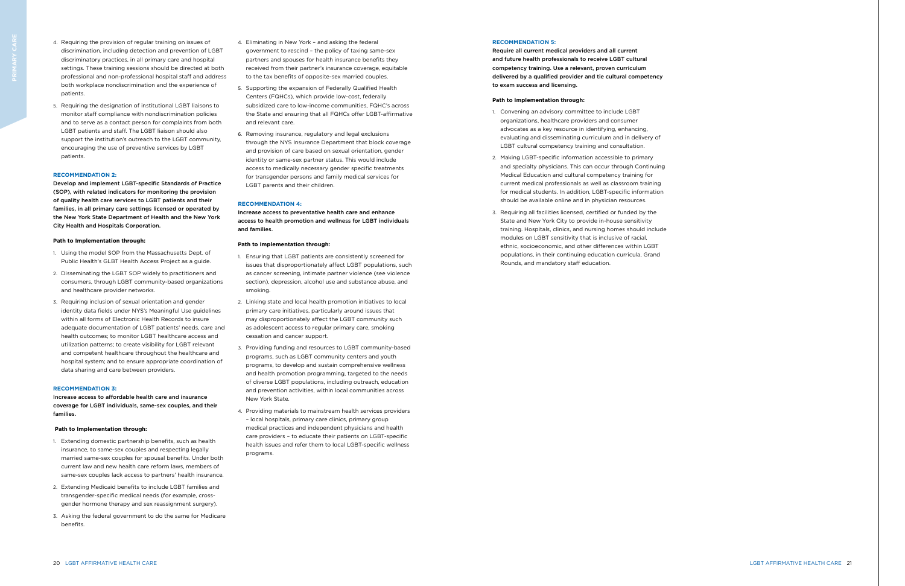20 LGBT AFFIRMATIVE HEALTH CARE LGBT AFFIRMATIVE HEALTH CARE 21

#### **RECOMMENDATION 5:**

Require all current medical providers and all current and future health professionals to receive LGBT cultural competency training. Use a relevant, proven curriculum delivered by a qualified provider and tie cultural competency to exam success and licensing.

#### **Path to Implementation through:**

- 1. Convening an advisory committee to include LGBT organizations, healthcare providers and consumer advocates as a key resource in identifying, enhancing, evaluating and disseminating curriculum and in delivery of LGBT cultural competency training and consultation.
- 2. Making LGBT-specific information accessible to primary and specialty physicians. This can occur through Continuing Medical Education and cultural competency training for current medical professionals as well as classroom training for medical students. In addition, LGBT-specific information should be available online and in physician resources.
- 3. Requiring all facilities licensed, certified or funded by the State and New York City to provide in-house sensitivity training. Hospitals, clinics, and nursing homes should include modules on LGBT sensitivity that is inclusive of racial, ethnic, socioeconomic, and other differences within LGBT populations, in their continuing education curricula, Grand Rounds, and mandatory staff education.
- 4. Requiring the provision of regular training on issues of discrimination, including detection and prevention of LGBT discriminatory practices, in all primary care and hospital settings. These training sessions should be directed at both professional and non-professional hospital staff and address both workplace nondiscrimination and the experience of patients.
- 5. Requiring the designation of institutional LGBT liaisons to monitor staff compliance with nondiscrimination policies and to serve as a contact person for complaints from both LGBT patients and staff. The LGBT liaison should also support the institution's outreach to the LGBT community, encouraging the use of preventive services by LGBT patients.

#### **RECOMMENDATION 2:**

Develop and implement LGBT-specific Standards of Practice (SOP), with related indicators for monitoring the provision of quality health care services to LGBT patients and their families, in all primary care settings licensed or operated by the New York State Department of Health and the New York City Health and Hospitals Corporation.

#### **Path to Implementation through:**

- 1. Using the model SOP from the Massachusetts Dept. of Public Health's GLBT Health Access Project as a guide.
- 2. Disseminating the LGBT SOP widely to practitioners and consumers, through LGBT community-based organizations and healthcare provider networks.
- 3. Requiring inclusion of sexual orientation and gender identity data fields under NYS's Meaningful Use guidelines within all forms of Electronic Health Records to insure adequate documentation of LGBT patients' needs, care and health outcomes; to monitor LGBT healthcare access and utilization patterns; to create visibility for LGBT relevant and competent healthcare throughout the healthcare and hospital system; and to ensure appropriate coordination of data sharing and care between providers.

#### **RECOMMENDATION 3:**

Increase access to affordable health care and insurance coverage for LGBT individuals, same-sex couples, and their families.

#### **Path to Implementation through:**

- 1. Extending domestic partnership benefits, such as health insurance, to same-sex couples and respecting legally married same-sex couples for spousal benefits. Under both current law and new health care reform laws, members of same-sex couples lack access to partners' health insurance.
- 2. Extending Medicaid benefits to include LGBT families and transgender-specific medical needs (for example, crossgender hormone therapy and sex reassignment surgery).
- 3. Asking the federal government to do the same for Medicare benefits.
- 4. Eliminating in New York and asking the federal government to rescind – the policy of taxing same-sex partners and spouses for health insurance benefits they received from their partner's insurance coverage, equitable to the tax benefits of opposite-sex married couples.
- 5. Supporting the expansion of Federally Qualified Health Centers (FQHCs), which provide low-cost, federally subsidized care to low-income communities, FQHC's across the State and ensuring that all FQHCs offer LGBT-affirmative and relevant care.
- 6. Removing insurance, regulatory and legal exclusions through the NYS Insurance Department that block coverage and provision of care based on sexual orientation, gender identity or same-sex partner status. This would include access to medically necessary gender specific treatments for transgender persons and family medical services for LGBT parents and their children.

#### **RECOMMENDATION 4:**

Increase access to preventative health care and enhance access to health promotion and wellness for LGBT individuals and families.

#### **Path to Implementation through:**

- 1. Ensuring that LGBT patients are consistently screened for issues that disproportionately affect LGBT populations, such as cancer screening, intimate partner violence (see violence section), depression, alcohol use and substance abuse, and smoking.
- 2. Linking state and local health promotion initiatives to local primary care initiatives, particularly around issues that may disproportionately affect the LGBT community such as adolescent access to regular primary care, smoking cessation and cancer support.
- 3. Providing funding and resources to LGBT community-based programs, such as LGBT community centers and youth programs, to develop and sustain comprehensive wellness and health promotion programming, targeted to the needs of diverse LGBT populations, including outreach, education and prevention activities, within local communities across New York State.
- 4. Providing materials to mainstream health services providers – local hospitals, primary care clinics, primary group medical practices and independent physicians and health care providers – to educate their patients on LGBT-specific health issues and refer them to local LGBT-specific wellness programs.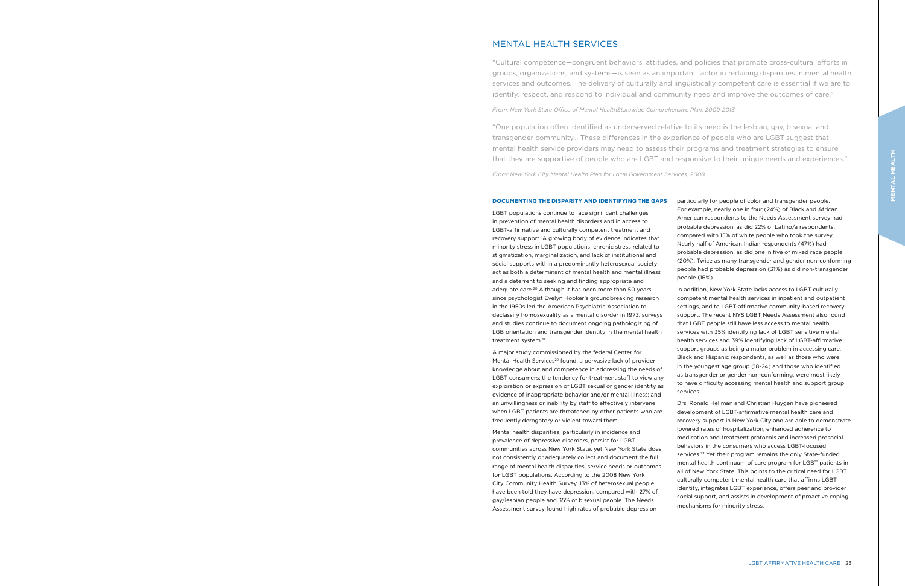LGBT populations continue to face significant challenges in prevention of mental health disorders and in access to LGBT-affirmative and culturally competent treatment and recovery support. A growing body of evidence indicates that minority stress in LGBT populations, chronic stress related to stigmatization, marginalization, and lack of institutional and social supports within a predominantly heterosexual society act as both a determinant of mental health and mental illness and a deterrent to seeking and finding appropriate and adequate care.20 Although it has been more than 50 years since psychologist Evelyn Hooker's groundbreaking research in the 1950s led the American Psychiatric Association to declassify homosexuality as a mental disorder in 1973, surveys and studies continue to document ongoing pathologizing of LGB orientation and transgender identity in the mental health treatment system.21

A major study commissioned by the federal Center for Mental Health Services<sup>22</sup> found: a pervasive lack of provider knowledge about and competence in addressing the needs of LGBT consumers; the tendency for treatment staff to view any exploration or expression of LGBT sexual or gender identity as evidence of inappropriate behavior and/or mental illness; and an unwillingness or inability by staff to effectively intervene when LGBT patients are threatened by other patients who are frequently derogatory or violent toward them.

Mental health disparities, particularly in incidence and prevalence of depressive disorders, persist for LGBT communities across New York State, yet New York State does not consistently or adequately collect and document the full range of mental health disparities, service needs or outcomes for LGBT populations. According to the 2008 New York City Community Health Survey, 13% of heterosexual people have been told they have depression, compared with 27% of gay/lesbian people and 35% of bisexual people. The Needs Assessment survey found high rates of probable depression

For example, nearly one in four (24%) of Black and African American respondents to the Needs Assessment survey had probable depression, as did 22% of Latino/a respondents, compared with 15% of white people who took the survey. Nearly half of American Indian respondents (47%) had probable depression, as did one in five of mixed race people (20%). Twice as many transgender and gender non-conforming people had probable depression (31%) as did non-transgender people (16%).

In addition, New York State lacks access to LGBT culturally competent mental health services in inpatient and outpatient settings, and to LGBT-affirmative community-based recovery support. The recent NYS LGBT Needs Assessment also found that LGBT people still have less access to mental health services with 35% identifying lack of LGBT sensitive mental health services and 39% identifying lack of LGBT-affirmative support groups as being a major problem in accessing care. Black and Hispanic respondents, as well as those who were in the youngest age group (18-24) and those who identified as transgender or gender non-conforming, were most likely to have difficulty accessing mental health and support group

services.

Drs. Ronald Hellman and Christian Huygen have pioneered development of LGBT-affirmative mental health care and recovery support in New York City and are able to demonstrate lowered rates of hospitalization, enhanced adherence to medication and treatment protocols and increased prosocial behaviors in the consumers who access LGBT-focused services.<sup>23</sup> Yet their program remains the only State-funded mental health continuum of care program for LGBT patients in all of New York State. This points to the critical need for LGBT culturally competent mental health care that affirms LGBT identity, integrates LGBT experience, offers peer and provider social support, and assists in development of proactive coping mechanisms for minority stress.

# MENTAL HEALTH SERVICES

"Cultural competence—congruent behaviors, attitudes, and policies that promote cross-cultural efforts in groups, organizations, and systems—is seen as an important factor in reducing disparities in mental health services and outcomes. The delivery of culturally and linguistically competent care is essential if we are to identify, respect, and respond to individual and community need and improve the outcomes of care."

*From: New York State Office of Mental HealthStatewide Comprehensive Plan, 2009-2013*

"One population often identified as underserved relative to its need is the lesbian, gay, bisexual and transgender community… These differences in the experience of people who are LGBT suggest that mental health service providers may need to assess their programs and treatment strategies to ensure that they are supportive of people who are LGBT and responsive to their unique needs and experiences."

*From: New York City Mental Health Plan for Local Government Services, 2008* 

#### **DOCUMENTING THE DISPARITY AND IDENTIFYING THE GAPS** particularly for people of color and transgender people.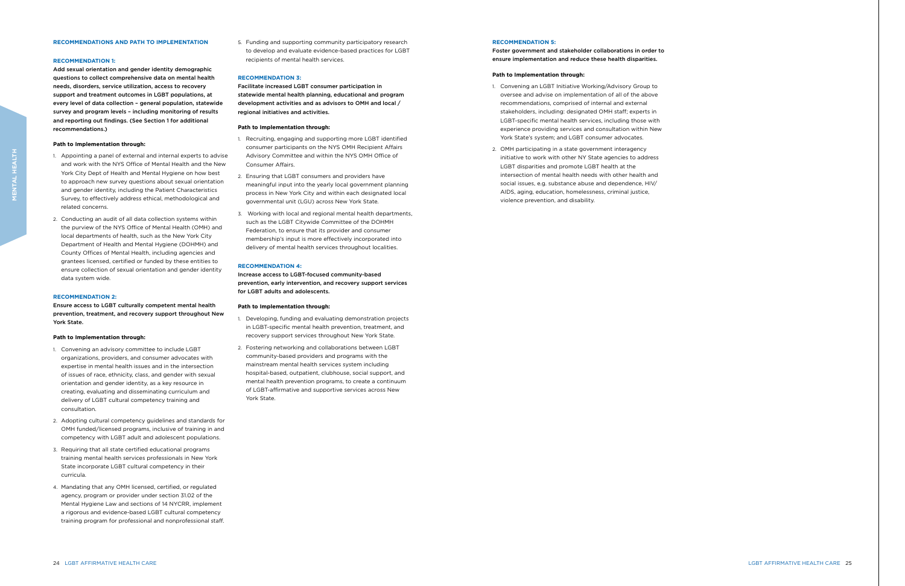#### **RECOMMENDATION 5:**

Foster government and stakeholder collaborations in order to ensure implementation and reduce these health disparities.

#### **Path to Implementation through:**

- 1. Convening an LGBT Initiative Working/Advisory Group to oversee and advise on implementation of all of the above recommendations, comprised of internal and external stakeholders, including: designated OMH staff; experts in LGBT-specific mental health services, including those with experience providing services and consultation within New York State's system; and LGBT consumer advocates.
- 2. OMH participating in a state government interagency initiative to work with other NY State agencies to address LGBT disparities and promote LGBT health at the intersection of mental health needs with other health and social issues, e.g. substance abuse and dependence, HIV/ AIDS, aging, education, homelessness, criminal justice, violence prevention, and disability.

#### **RECOMMENDATIONS AND PATH TO IMPLEMENTATION**

#### **RECOMMENDATION 1:**

Add sexual orientation and gender identity demographic questions to collect comprehensive data on mental health needs, disorders, service utilization, access to recovery support and treatment outcomes in LGBT populations, at every level of data collection – general population, statewide survey and program levels – including monitoring of results and reporting out findings. (See Section 1 for additional recommendations.)

#### **Path to Implementation through:**

- 1. Appointing a panel of external and internal experts to advise and work with the NYS Office of Mental Health and the New York City Dept of Health and Mental Hygiene on how best to approach new survey questions about sexual orientation and gender identity, including the Patient Characteristics Survey, to effectively address ethical, methodological and related concerns.
- 2. Conducting an audit of all data collection systems within the purview of the NYS Office of Mental Health (OMH) and local departments of health, such as the New York City Department of Health and Mental Hygiene (DOHMH) and County Offices of Mental Health, including agencies and grantees licensed, certified or funded by these entities to ensure collection of sexual orientation and gender identity data system wide.

#### **RECOMMENDATION 2:**

Ensure access to LGBT culturally competent mental health prevention, treatment, and recovery support throughout New York State.

#### **Path to Implementation through:**

- 1. Convening an advisory committee to include LGBT organizations, providers, and consumer advocates with expertise in mental health issues and in the intersection of issues of race, ethnicity, class, and gender with sexual orientation and gender identity, as a key resource in creating, evaluating and disseminating curriculum and delivery of LGBT cultural competency training and consultation.
- 2. Adopting cultural competency guidelines and standards for OMH funded/licensed programs, inclusive of training in and competency with LGBT adult and adolescent populations.
- 3. Requiring that all state certified educational programs training mental health services professionals in New York State incorporate LGBT cultural competency in their curricula.
- 4. Mandating that any OMH licensed, certified, or regulated agency, program or provider under section 31.02 of the Mental Hygiene Law and sections of 14 NYCRR, implement a rigorous and evidence-based LGBT cultural competency training program for professional and nonprofessional staff.

5. Funding and supporting community participatory research to develop and evaluate evidence-based practices for LGBT recipients of mental health services.

#### **RECOMMENDATION 3:**

Facilitate increased LGBT consumer participation in statewide mental health planning, educational and program development activities and as advisors to OMH and local / regional initiatives and activities.

#### **Path to Implementation through:**

- 1. Recruiting, engaging and supporting more LGBT identified consumer participants on the NYS OMH Recipient Affairs Advisory Committee and within the NYS OMH Office of Consumer Affairs.
- 2. Ensuring that LGBT consumers and providers have meaningful input into the yearly local government planning process in New York City and within each designated local governmental unit (LGU) across New York State.
- 3. Working with local and regional mental health departments, such as the LGBT Citywide Committee of the DOHMH Federation, to ensure that its provider and consumer membership's input is more effectively incorporated into delivery of mental health services throughout localities.

#### **RECOMMENDATION 4:**

Increase access to LGBT-focused community-based prevention, early intervention, and recovery support services for LGBT adults and adolescents.

#### **Path to Implementation through:**

- 1. Developing, funding and evaluating demonstration projects in LGBT-specific mental health prevention, treatment, and recovery support services throughout New York State.
- 2. Fostering networking and collaborations between LGBT community-based providers and programs with the mainstream mental health services system including hospital-based, outpatient, clubhouse, social support, and mental health prevention programs, to create a continuum of LGBT-affirmative and supportive services across New York State.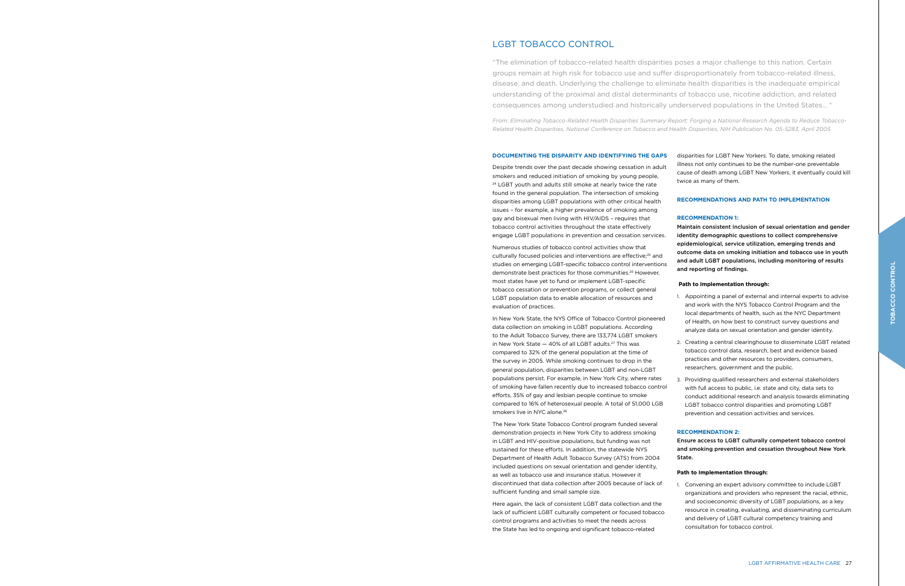Despite trends over the past decade showing cessation in adult smokers and reduced initiation of smoking by young people, <sup>24</sup> LGBT youth and adults still smoke at nearly twice the rate found in the general population. The intersection of smoking disparities among LGBT populations with other critical health issues – for example, a higher prevalence of smoking among gay and bisexual men living with HIV/AIDS – requires that tobacco control activities throughout the state effectively engage LGBT populations in prevention and cessation services.

In New York State, the NYS Office of Tobacco Control pioneered data collection on smoking in LGBT populations. According to the Adult Tobacco Survey, there are 133,774 LGBT smokers in New York State  $-40\%$  of all LGBT adults.<sup>27</sup> This was compared to 32% of the general population at the time of the survey in 2005. While smoking continues to drop in the general population, disparities between LGBT and non-LGBT populations persist. For example, in New York City, where rates of smoking have fallen recently due to increased tobacco control efforts, 35% of gay and lesbian people continue to smoke compared to 16% of heterosexual people. A total of 51,000 LGB smokers live in NYC alone.<sup>28</sup>

Numerous studies of tobacco control activities show that culturally focused policies and interventions are effective;<sup>25</sup> and studies on emerging LGBT-specific tobacco control interventions demonstrate best practices for those communities.26 However, most states have yet to fund or implement LGBT-specific tobacco cessation or prevention programs, or collect general LGBT population data to enable allocation of resources and evaluation of practices.

The New York State Tobacco Control program funded several demonstration projects in New York City to address smoking in LGBT and HIV-positive populations, but funding was not sustained for these efforts. In addition, the statewide NYS Department of Health Adult Tobacco Survey (ATS) from 2004 included questions on sexual orientation and gender identity, as well as tobacco use and insurance status. However it discontinued that data collection after 2005 because of lack of sufficient funding and small sample size.

Here again, the lack of consistent LGBT data collection and the lack of sufficient LGBT culturally competent or focused tobacco control programs and activities to meet the needs across the State has led to ongoing and significant tobacco-related

disparities for LGBT New Yorkers. To date, smoking related illness not only continues to be the number-one preventable cause of death among LGBT New Yorkers, it eventually could kill twice as many of them.

### **RECOMMENDATIONS AND PATH TO IMPLEMENTATION**

#### **RECOMMENDATION 1:**

Maintain consistent inclusion of sexual orientation and gender identity demographic questions to collect comprehensive epidemiological, service utilization, emerging trends and outcome data on smoking initiation and tobacco use in youth and adult LGBT populations, including monitoring of results and reporting of findings.

### **Path to Implementation through:**

1. Appointing a panel of external and internal experts to advise and work with the NYS Tobacco Control Program and the local departments of health, such as the NYC Department of Health, on how best to construct survey questions and analyze data on sexual orientation and gender identity.

2. Creating a central clearinghouse to disseminate LGBT related tobacco control data, research, best and evidence based practices and other resources to providers, consumers, researchers, government and the public.

3. Providing qualified researchers and external stakeholders with full access to public, i.e. state and city, data sets to conduct additional research and analysis towards eliminating LGBT tobacco control disparities and promoting LGBT prevention and cessation activities and services.

## **RECOMMENDATION 2:**

Ensure access to LGBT culturally competent tobacco control and smoking prevention and cessation throughout New York State.

#### **Path to Implementation through:**

1. Convening an expert advisory committee to include LGBT organizations and providers who represent the racial, ethnic, and socioeconomic diversity of LGBT populations, as a key resource in creating, evaluating, and disseminating curriculum and delivery of LGBT cultural competency training and consultation for tobacco control.

# LGBT TOBACCO CONTROL

"The elimination of tobacco-related health disparities poses a major challenge to this nation. Certain groups remain at high risk for tobacco use and suffer disproportionately from tobacco-related illness, disease, and death. Underlying the challenge to eliminate health disparities is the inadequate empirical understanding of the proximal and distal determinants of tobacco use, nicotine addiction, and related consequences among understudied and historically underserved populations in the United States… "

*From: Eliminating Tobacco-Related Health Disparities Summary Report: Forging a National Research Agenda to Reduce Tobacco-Related Health Disparities, National Conference on Tobacco and Health Disparities, NIH Publication No. 05-5283, April 2005*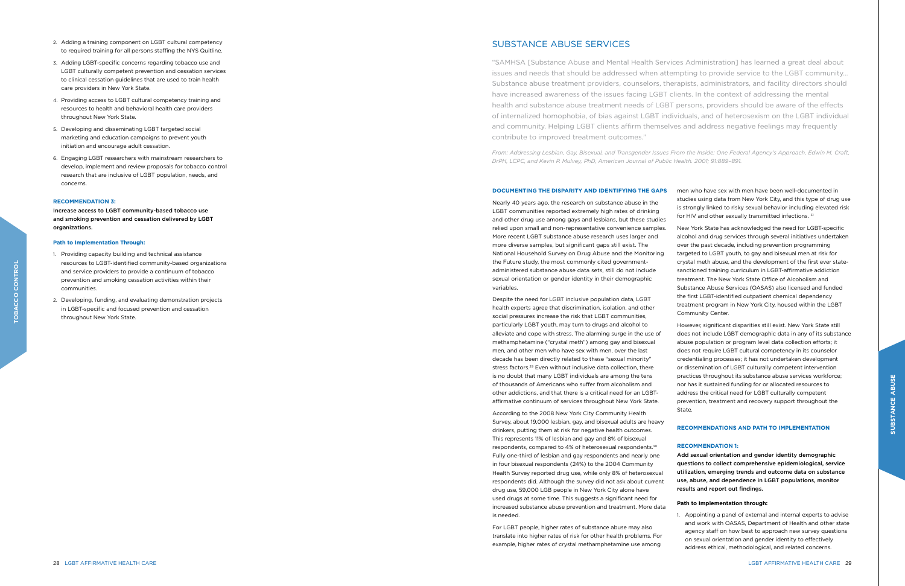Nearly 40 years ago, the research on substance abuse in the LGBT communities reported extremely high rates of drinking and other drug use among gays and lesbians, but these studies relied upon small and non-representative convenience samples. More recent LGBT substance abuse research uses larger and more diverse samples, but significant gaps still exist. The National Household Survey on Drug Abuse and the Monitoring the Future study, the most commonly cited governmentadministered substance abuse data sets, still do not include sexual orientation or gender identity in their demographic variables.

Despite the need for LGBT inclusive population data, LGBT health experts agree that discrimination, isolation, and other social pressures increase the risk that LGBT communities, particularly LGBT youth, may turn to drugs and alcohol to alleviate and cope with stress. The alarming surge in the use of methamphetamine ("crystal meth") among gay and bisexual men, and other men who have sex with men, over the last decade has been directly related to these "sexual minority" stress factors.<sup>29</sup> Even without inclusive data collection, there is no doubt that many LGBT individuals are among the tens of thousands of Americans who suffer from alcoholism and other addictions, and that there is a critical need for an LGBTaffirmative continuum of services throughout New York State.

According to the 2008 New York City Community Health Survey, about 19,000 lesbian, gay, and bisexual adults are heavy drinkers, putting them at risk for negative health outcomes. This represents 11% of lesbian and gay and 8% of bisexual respondents, compared to 4% of heterosexual respondents.30 Fully one-third of lesbian and gay respondents and nearly one in four bisexual respondents (24%) to the 2004 Community Health Survey reported drug use, while only 8% of heterosexual respondents did. Although the survey did not ask about current drug use, 59,000 LGB people in New York City alone have used drugs at some time. This suggests a significant need for increased substance abuse prevention and treatment. More data is needed.

For LGBT people, higher rates of substance abuse may also translate into higher rates of risk for other health problems. For example, higher rates of crystal methamphetamine use among

men who have sex with men have been well-documented in studies using data from New York City, and this type of drug use is strongly linked to risky sexual behavior including elevated risk for HIV and other sexually transmitted infections. 31

New York State has acknowledged the need for LGBT-specific alcohol and drug services through several initiatives undertaken over the past decade, including prevention programming targeted to LGBT youth, to gay and bisexual men at risk for crystal meth abuse, and the development of the first ever statesanctioned training curriculum in LGBT-affirmative addiction treatment. The New York State Office of Alcoholism and Substance Abuse Services (OASAS) also licensed and funded the first LGBT-identified outpatient chemical dependency treatment program in New York City, housed within the LGBT Community Center.

*From: Addressing Lesbian, Gay, Bisexual, and Transgender Issues From the Inside: One Federal Agency's Approach, Edwin M. Craft,*  DrPH, LCPC, and Kevin P. Mulvey, PhD, American Journal of Public Health. 2001; 91:889-891.

> However, significant disparities still exist. New York State still does not include LGBT demographic data in any of its substance abuse population or program level data collection efforts; it does not require LGBT cultural competency in its counselor credentialing processes; it has not undertaken development or dissemination of LGBT culturally competent intervention practices throughout its substance abuse services workforce; nor has it sustained funding for or allocated resources to address the critical need for LGBT culturally competent prevention, treatment and recovery support throughout the

State.

#### **RECOMMENDATIONS AND PATH TO IMPLEMENTATION**

#### **RECOMMENDATION 1:**

Add sexual orientation and gender identity demographic questions to collect comprehensive epidemiological, service utilization, emerging trends and outcome data on substance use, abuse, and dependence in LGBT populations, monitor results and report out findings.

#### **Path to Implementation through:**

1. Appointing a panel of external and internal experts to advise and work with OASAS, Department of Health and other state agency staff on how best to approach new survey questions on sexual orientation and gender identity to effectively address ethical, methodological, and related concerns.

- 2. Adding a training component on LGBT cultural competency to required training for all persons staffing the NYS Quitline.
- 3. Adding LGBT-specific concerns regarding tobacco use and LGBT culturally competent prevention and cessation services to clinical cessation guidelines that are used to train health care providers in New York State.
- 4. Providing access to LGBT cultural competency training and resources to health and behavioral health care providers throughout New York State.
- 5. Developing and disseminating LGBT targeted social marketing and education campaigns to prevent youth initiation and encourage adult cessation.
- 6. Engaging LGBT researchers with mainstream researchers to develop, implement and review proposals for tobacco control research that are inclusive of LGBT population, needs, and concerns.

#### **RECOMMENDATION 3:**

Increase access to LGBT community-based tobacco use and smoking prevention and cessation delivered by LGBT organizations.

#### **Path to Implementation Through:**

- 1. Providing capacity building and technical assistance resources to LGBT-identified community-based organizations and service providers to provide a continuum of tobacco prevention and smoking cessation activities within their communities.
- 2. Developing, funding, and evaluating demonstration projects in LGBT-specific and focused prevention and cessation throughout New York State.

# SUBSTANCE ABUSE SERVICES

"SAMHSA [Substance Abuse and Mental Health Services Administration] has learned a great deal about issues and needs that should be addressed when attempting to provide service to the LGBT community… Substance abuse treatment providers, counselors, therapists, administrators, and facility directors should have increased awareness of the issues facing LGBT clients. In the context of addressing the mental health and substance abuse treatment needs of LGBT persons, providers should be aware of the effects of internalized homophobia, of bias against LGBT individuals, and of heterosexism on the LGBT individual and community. Helping LGBT clients affirm themselves and address negative feelings may frequently contribute to improved treatment outcomes."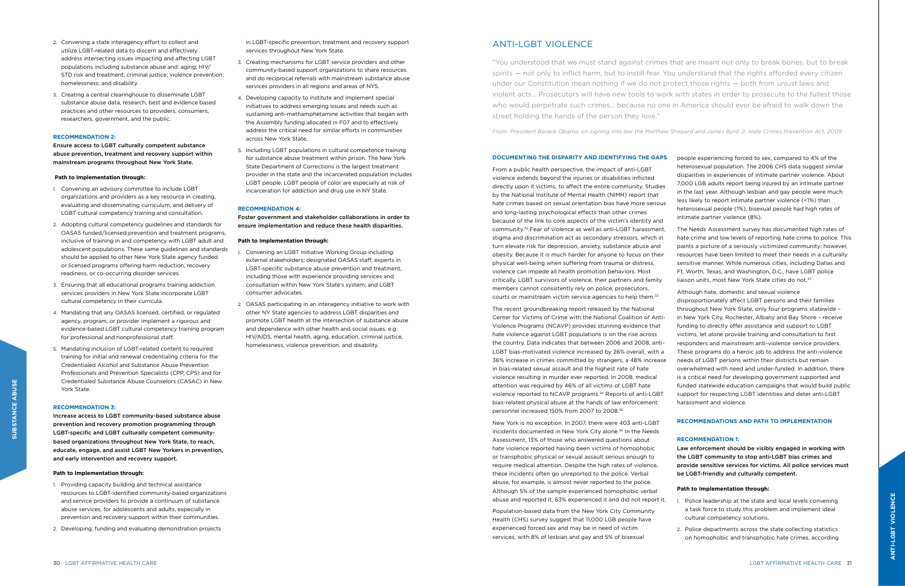From a public health perspective, the impact of anti-LGBT violence extends beyond the injuries or disabilities inflicted directly upon it victims, to affect the entire community. Studies by the National Institute of Mental Health (NIMH) report that hate crimes based on sexual orientation bias have more serious and long-lasting psychological effects than other crimes because of the link to core aspects of the victim's identity and community.32 Fear of violence as well as anti-LGBT harassment, stigma and discrimination act as secondary stressors, which in turn elevate risk for depression, anxiety, substance abuse and obesity. Because it is much harder for anyone to focus on their physical well-being when suffering from trauma or distress, violence can impede all health promotion behaviors. Most critically, LGBT survivors of violence, their partners and family members cannot consistently rely on police, prosecutors, courts or mainstream victim service agencies to help them.33

#### **DOCUMENTING THE DISPARITY AND IDENTIFYING THE GAPS**  people experiencing forced to sex, compared to 4% of the

The recent groundbreaking report released by the National Center for Victims of Crime with the National Coalition of Anti-Violence Programs (NCAVP) provides stunning evidence that hate violence against LGBT populations is on the rise across the country. Data indicates that between 2006 and 2008, anti-LGBT bias-motivated violence increased by 26% overall, with a 36% increase in crimes committed by strangers, a 48% increase in bias-related sexual assault and the highest rate of hate violence resulting in murder ever reported. In 2008, medical attention was required by 46% of all victims of LGBT hate violence reported to NCAVP programs.34 Reports of anti-LGBT bias-related physical abuse at the hands of law enforcement personnel increased 150% from 2007 to 2008.35

The Needs Assessment survey has documented high rates of hate crime and low levels of reporting hate crime to police. This paints a picture of a seriously victimized community; however, resources have been limited to meet their needs in a culturally sensitive manner. While numerous cities, including Dallas and Ft. Worth, Texas, and Washington, D.C., have LGBT police liaison units, most New York State cities do not.<sup>37</sup>

New York is no exception. In 2007, there were 403 anti-LGBT incidents documented in New York City alone.<sup>36</sup> In the Needs Assessment, 13% of those who answered questions about hate violence reported having been victims of homophobic or transphobic physical or sexual assault serious enough to require medical attention. Despite the high rates of violence, these incidents often go unreported to the police. Verbal abuse, for example, is almost never reported to the police. Although 5% of the sample experienced homophobic verbal abuse and reported it, 63% experienced it and did not report it.

Population-based data from the New York City Community Health (CHS) survey suggest that 11,000 LGB people have experienced forced sex and may be in need of victim services, with 8% of lesbian and gay and 5% of bisexual

heterosexual population. The 2006 CHS data suggest similar disparities in experiences of intimate partner violence. About 7,000 LGB adults report being injured by an intimate partner in the last year. Although lesbian and gay people were much less likely to report intimate partner violence (<1%) than heterosexual people (1%), bisexual people had high rates of intimate partner violence (8%).

Although hate, domestic and sexual violence disproportionately affect LGBT persons and their families throughout New York State, only four programs statewide – in New York City, Rochester, Albany and Bay Shore – receive funding to directly offer assistance and support to LGBT victims, let alone provide training and consultation to first responders and mainstream anti-violence service providers. These programs do a heroic job to address the anti-violence needs of LGBT persons within their districts but remain overwhelmed with need and under-funded. In addition, there is a critical need for developing government supported and funded statewide education campaigns that would build public support for respecting LGBT identities and deter anti-LGBT harassment and violence.

#### **RECOMMENDATIONS AND PATH TO IMPLEMENTATION**

#### **RECOMMENDATION 1:**

Law enforcement should be visibly engaged in working with the LGBT community to stop anti-LGBT bias crimes and provide sensitive services for victims. All police services must be LGBT-friendly and culturally competent.

#### **Path to Implementation through:**

1. Police leadership at the state and local levels convening a task force to study this problem and implement ideal cultural competency solutions.

2. Police departments across the state collecting statistics on homophobic and transphobic hate crimes, according

- 2. Convening a state interagency effort to collect and utilize LGBT-related data to discern and effectively address intersecting issues impacting and affecting LGBT populations including substance abuse and: aging; HIV/ STD risk and treatment; criminal justice; violence prevention; homelessness; and disability.
- 3. Creating a central clearinghouse to disseminate LGBT substance abuse data, research, best and evidence based practices and other resources to providers, consumers, researchers, government, and the public.

#### **RECOMMENDATION 2:**

Ensure access to LGBT culturally competent substance abuse prevention, treatment and recovery support within mainstream programs throughout New York State.

#### **Path to Implementation through:**

- 1. Convening an advisory committee to include LGBT organizations and providers as a key resource in creating, evaluating and disseminating curriculum, and delivery of LGBT cultural competency training and consultation.
- 2. Adopting cultural competency guidelines and standards for OASAS funded/licensed prevention and treatment programs, inclusive of training in and competency with LGBT adult and adolescent populations. These same guidelines and standards should be applied to other New York State agency funded or licensed programs offering harm reduction, recovery readiness, or co-occurring disorder services.
- 3. Ensuring that all educational programs training addiction services providers in New York State incorporate LGBT cultural competency in their curricula.
- 4. Mandating that any OASAS licensed, certified, or regulated agency, program, or provider implement a rigorous and evidence-based LGBT cultural competency training program for professional and nonprofessional staff.
- 5. Mandating inclusion of LGBT-related content to required training for initial and renewal credentialing criteria for the Credentialed Alcohol and Substance Abuse Prevention Professionals and Prevention Specialists (CPP, CPS) and for Credentialed Substance Abuse Counselors (CASAC) in New York State.

#### **RECOMMENDATION 3:**

Increase access to LGBT community-based substance abuse prevention and recovery promotion programming through LGBT-specific and LGBT culturally competent communitybased organizations throughout New York State, to reach, educate, engage, and assist LGBT New Yorkers in prevention, and early intervention and recovery support.

#### **Path to Implementation through:**

- 1. Providing capacity building and technical assistance resources to LGBT-identified community-based organizations and service providers to provide a continuum of substance abuse services, for adolescents and adults, especially in prevention and recovery support within their communities.
- 2. Developing, funding and evaluating demonstration projects

in LGBT-specific prevention, treatment and recovery support services throughout New York State.

- 3. Creating mechanisms for LGBT service providers and other community-based support organizations to share resources and do reciprocal referrals with mainstream substance abuse services providers in all regions and areas of NYS.
- 4. Developing capacity to institute and implement special initiatives to address emerging issues and needs such as sustaining anti-methamphetamine activities that began with the Assembly funding allocated in F07 and to effectively address the critical need for similar efforts in communities across New York State.
- 5. Including LGBT populations in cultural competence training for substance abuse treatment within prison. The New York State Department of Corrections is the largest treatment provider in the state and the incarcerated population includes LGBT people. LGBT people of color are especially at risk of incarceration for addiction and drug use in NY State.

#### **RECOMMENDATION 4:**

Foster government and stakeholder collaborations in order to ensure implementation and reduce these health disparities.

#### **Path to Implementation through:**

- 1. Convening an LGBT Initiative Working Group including: external stakeholders; designated OASAS staff; experts in LGBT-specific substance abuse prevention and treatment, including those with experience providing services and consultation within New York State's system; and LGBT consumer advocates.
- 2. OASAS participating in an interagency initiative to work with other NY State agencies to address LGBT disparities and promote LGBT health at the intersection of substance abuse and dependence with other health and social issues, e.g. HIV/AIDS, mental health, aging, education, criminal justice, homelessness, violence prevention, and disability.

# ANTI-LGBT VIOLENCE

"You understood that we must stand against crimes that are meant not only to break bones, but to break spirits — not only to inflict harm, but to instill fear. You understand that the rights afforded every citizen under our Constitution mean nothing if we do not protect those rights — both from unjust laws and violent acts… Prosecutors will have new tools to work with states in order to prosecute to the fullest those who would perpetrate such crimes… because no one in America should ever be afraid to walk down the street holding the hands of the person they love."

*From: President Barack Obama, on signing into law the Matthew Shepard and James Byrd Jr. Hate Crimes Prevention Act, 2009*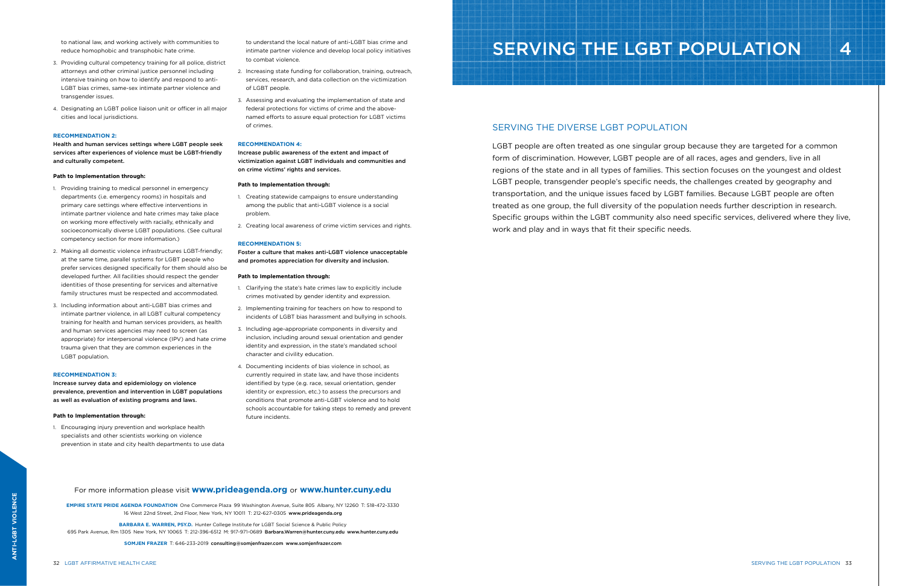to national law, and working actively with communities to reduce homophobic and transphobic hate crime.

- 3. Providing cultural competency training for all police, district attorneys and other criminal justice personnel including intensive training on how to identify and respond to anti-LGBT bias crimes, same-sex intimate partner violence and transgender issues.
- 4. Designating an LGBT police liaison unit or officer in all major cities and local jurisdictions.

#### **RECOMMENDATION 2:**

Health and human services settings where LGBT people seek services after experiences of violence must be LGBT-friendly and culturally competent.

#### **Path to Implementation through:**

- 1. Providing training to medical personnel in emergency departments (i.e. emergency rooms) in hospitals and primary care settings where effective interventions in intimate partner violence and hate crimes may take place on working more effectively with racially, ethnically and socioeconomically diverse LGBT populations. (See cultural competency section for more information.)
- 2. Making all domestic violence infrastructures LGBT-friendly; at the same time, parallel systems for LGBT people who prefer services designed specifically for them should also be developed further. All facilities should respect the gender identities of those presenting for services and alternative family structures must be respected and accommodated.
- 3. Including information about anti-LGBT bias crimes and intimate partner violence, in all LGBT cultural competency training for health and human services providers, as health and human services agencies may need to screen (as appropriate) for interpersonal violence (IPV) and hate crime trauma given that they are common experiences in the LGBT population.

#### **RECOMMENDATION 3:**

Increase survey data and epidemiology on violence prevalence, prevention and intervention in LGBT populations as well as evaluation of existing programs and laws.

#### **Path to Implementation through:**

1. Encouraging injury prevention and workplace health specialists and other scientists working on violence prevention in state and city health departments to use data to understand the local nature of anti-LGBT bias crime and intimate partner violence and develop local policy initiatives to combat violence.

- 2. Increasing state funding for collaboration, training, outreach, services, research, and data collection on the victimization of LGBT people.
- 3. Assessing and evaluating the implementation of state and federal protections for victims of crime and the abovenamed efforts to assure equal protection for LGBT victims of crimes.

#### **RECOMMENDATION 4:**

Increase public awareness of the extent and impact of victimization against LGBT individuals and communities and on crime victims' rights and services.

#### **Path to Implementation through:**

- 1. Creating statewide campaigns to ensure understanding among the public that anti-LGBT violence is a social problem.
- 2. Creating local awareness of crime victim services and rights.

#### **RECOMMENDATION 5:**

Foster a culture that makes anti-LGBT violence unacceptable and promotes appreciation for diversity and inclusion.

#### **Path to Implementation through:**

- 1. Clarifying the state's hate crimes law to explicitly include crimes motivated by gender identity and expression.
- 2. Implementing training for teachers on how to respond to incidents of LGBT bias harassment and bullying in schools.
- 3. Including age-appropriate components in diversity and inclusion, including around sexual orientation and gender identity and expression, in the state's mandated school character and civility education.
- 4. Documenting incidents of bias violence in school, as currently required in state law, and have those incidents identified by type (e.g. race, sexual orientation, gender identity or expression, etc.) to assess the precursors and conditions that promote anti-LGBT violence and to hold schools accountable for taking steps to remedy and prevent future incidents.

# SERVING THE LGBT POPULATION 4

## SERVING THE DIVERSE LGBT POPULATION

For more information please visit **www.prideagenda.org** or **www.hunter.cuny.edu**

**EMPIRE STATE PRIDE AGENDA FOUNDATION** One Commerce Plaza 99 Washington Avenue, Suite 805 Albany, NY 12260 T: 518-472-3330 16 West 22nd Street, 2nd Floor, New York, NY 10011 T: 212-627-0305 www.prideagenda.org

**BARBARA E. WARREN, PSY.D.** Hunter College Institute for LGBT Social Science & Public Policy

695 Park Avenue, Rm 1305 New York, NY 10065 T: 212-396-6512 M: 917-971-0689 Barbara.Warren@hunter.cuny.edu www.hunter.cuny.edu

**SOMJEN FRAZER** T: 646-233-2019 consulting@somjenfrazer.com www.somjenfrazer.com

LGBT people are often treated as one singular group because they are targeted for a common form of discrimination. However, LGBT people are of all races, ages and genders, live in all regions of the state and in all types of families. This section focuses on the youngest and oldest LGBT people, transgender people's specific needs, the challenges created by geography and transportation, and the unique issues faced by LGBT families. Because LGBT people are often treated as one group, the full diversity of the population needs further description in research. Specific groups within the LGBT community also need specific services, delivered where they live, work and play and in ways that fit their specific needs.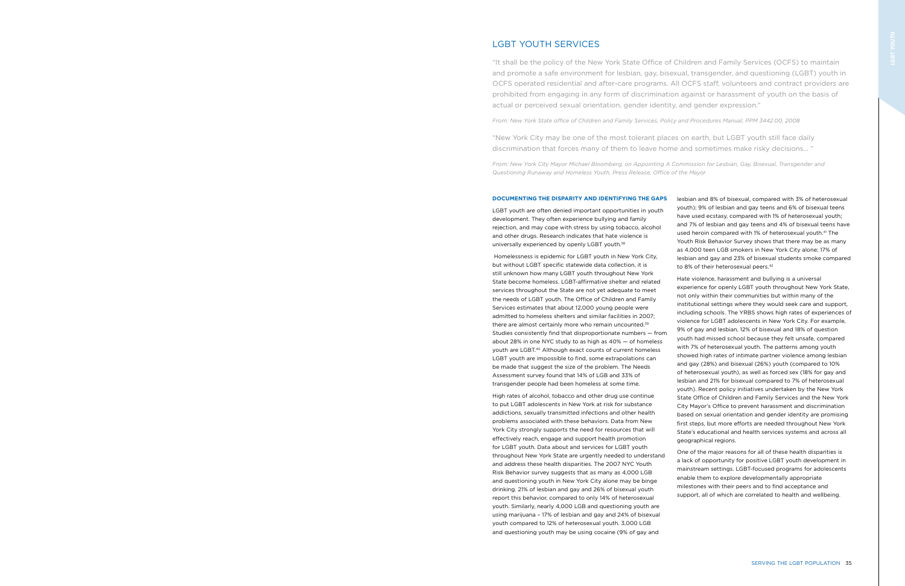LGBT youth are often denied important opportunities in youth development. They often experience bullying and family rejection, and may cope with stress by using tobacco, alcohol and other drugs. Research indicates that hate violence is universally experienced by openly LGBT youth.<sup>38</sup>

 Homelessness is epidemic for LGBT youth in New York City, but without LGBT specific statewide data collection, it is still unknown how many LGBT youth throughout New York State become homeless. LGBT-affirmative shelter and related services throughout the State are not yet adequate to meet the needs of LGBT youth. The Office of Children and Family Services estimates that about 12,000 young people were admitted to homeless shelters and similar facilities in 2007; there are almost certainly more who remain uncounted.<sup>39</sup> Studies consistently find that disproportionate numbers — from about 28% in one NYC study to as high as 40% — of homeless youth are LGBT.40 Although exact counts of current homeless LGBT youth are impossible to find, some extrapolations can be made that suggest the size of the problem. The Needs Assessment survey found that 14% of LGB and 33% of transgender people had been homeless at some time.

youth); 9% of lesbian and gay teens and 6% of bisexual teens have used ecstasy, compared with 1% of heterosexual youth; and 7% of lesbian and gay teens and 4% of bisexual teens have used heroin compared with 1% of heterosexual youth.<sup>41</sup> The Youth Risk Behavior Survey shows that there may be as many as 4,000 teen LGB smokers in New York City alone; 17% of lesbian and gay and 23% of bisexual students smoke compared to 8% of their heterosexual peers.<sup>42</sup>

#### **DOCUMENTING THE DISPARITY AND IDENTIFYING THE GAPS**  lesbian and 8% of bisexual, compared with 3% of heterosexual

High rates of alcohol, tobacco and other drug use continue to put LGBT adolescents in New York at risk for substance addictions, sexually transmitted infections and other health problems associated with these behaviors. Data from New York City strongly supports the need for resources that will effectively reach, engage and support health promotion for LGBT youth. Data about and services for LGBT youth throughout New York State are urgently needed to understand and address these health disparities. The 2007 NYC Youth Risk Behavior survey suggests that as many as 4,000 LGB and questioning youth in New York City alone may be binge drinking. 21% of lesbian and gay and 26% of bisexual youth report this behavior, compared to only 14% of heterosexual youth. Similarly, nearly 4,000 LGB and questioning youth are using marijuana – 17% of lesbian and gay and 24% of bisexual youth compared to 12% of heterosexual youth. 3,000 LGB and questioning youth may be using cocaine (9% of gay and

Hate violence, harassment and bullying is a universal experience for openly LGBT youth throughout New York State, not only within their communities but within many of the institutional settings where they would seek care and support, including schools. The YRBS shows high rates of experiences of violence for LGBT adolescents in New York City. For example, 9% of gay and lesbian, 12% of bisexual and 18% of question youth had missed school because they felt unsafe, compared with 7% of heterosexual youth. The patterns among youth showed high rates of intimate partner violence among lesbian and gay (28%) and bisexual (26%) youth (compared to 10% of heterosexual youth), as well as forced sex (18% for gay and lesbian and 21% for bisexual compared to 7% of heterosexual youth). Recent policy initiatives undertaken by the New York State Office of Children and Family Services and the New York City Mayor's Office to prevent harassment and discrimination based on sexual orientation and gender identity are promising first steps, but more efforts are needed throughout New York State's educational and health services systems and across all geographical regions.

One of the major reasons for all of these health disparities is a lack of opportunity for positive LGBT youth development in mainstream settings. LGBT-focused programs for adolescents enable them to explore developmentally appropriate milestones with their peers and to find acceptance and support, all of which are correlated to health and wellbeing.

# LGBT YOUTH SERVICES

"It shall be the policy of the New York State Office of Children and Family Services (OCFS) to maintain and promote a safe environment for lesbian, gay, bisexual, transgender, and questioning (LGBT) youth in OCFS operated residential and after-care programs. All OCFS staff, volunteers and contract providers are prohibited from engaging in any form of discrimination against or harassment of youth on the basis of actual or perceived sexual orientation, gender identity, and gender expression."

*From: New York State office of Children and Family Services, Policy and Procedures Manual, PPM 3442.00, 2008*

"New York City may be one of the most tolerant places on earth, but LGBT youth still face daily discrimination that forces many of them to leave home and sometimes make risky decisions… "

*From: New York City Mayor Michael Bloomberg, on Appointing A Commission for Lesbian, Gay, Bisexual, Transgender and Questioning Runaway and Homeless Youth, Press Release, Office of the Mayor*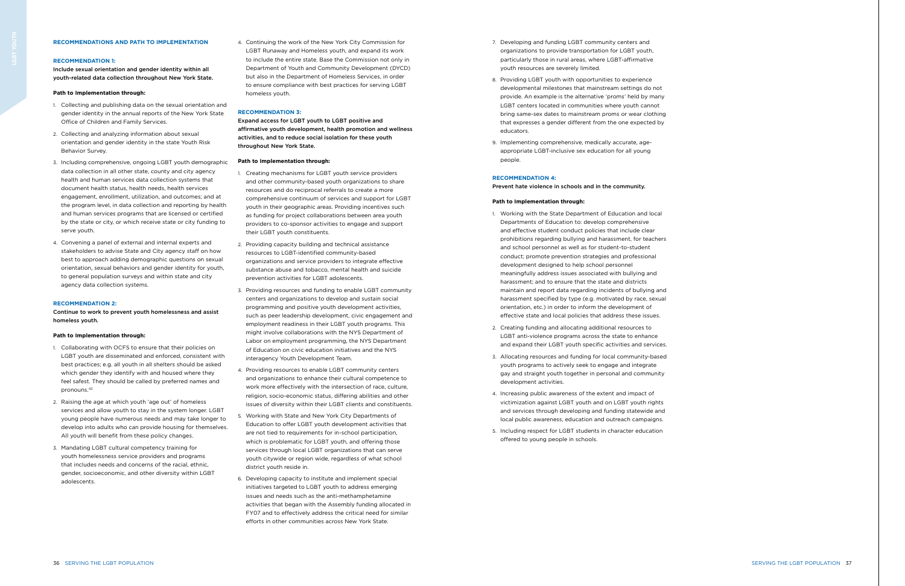- 7. Developing and funding LGBT community centers and organizations to provide transportation for LGBT youth, particularly those in rural areas, where LGBT-affirmative youth resources are severely limited.
- 8. Providing LGBT youth with opportunities to experience developmental milestones that mainstream settings do not provide. An example is the alternative 'proms' held by many LGBT centers located in communities where youth cannot bring same-sex dates to mainstream proms or wear clothing that expresses a gender different from the one expected by educators.
- 9. Implementing comprehensive, medically accurate, ageappropriate LGBT-inclusive sex education for all young people.

#### **RECOMMENDATION 4:**

Prevent hate violence in schools and in the community.

#### **Path to Implementation through:**

- 1. Working with the State Department of Education and local Departments of Education to: develop comprehensive and effective student conduct policies that include clear prohibitions regarding bullying and harassment, for teachers and school personnel as well as for student-to-student conduct; promote prevention strategies and professional development designed to help school personnel meaningfully address issues associated with bullying and harassment; and to ensure that the state and districts maintain and report data regarding incidents of bullying and harassment specified by type (e.g. motivated by race, sexual orientation, etc.) in order to inform the development of effective state and local policies that address these issues.
- 2. Creating funding and allocating additional resources to LGBT anti-violence programs across the state to enhance and expand their LGBT youth specific activities and services.
- 3. Allocating resources and funding for local community-based youth programs to actively seek to engage and integrate gay and straight youth together in personal and community development activities.
- 4. Increasing public awareness of the extent and impact of victimization against LGBT youth and on LGBT youth rights and services through developing and funding statewide and local public awareness, education and outreach campaigns.
- 5. Including respect for LGBT students in character education offered to young people in schools.

### **RECOMMENDATIONS AND PATH TO IMPLEMENTATION**

#### **RECOMMENDATION 1:**

Include sexual orientation and gender identity within all youth-related data collection throughout New York State.

#### **Path to Implementation through:**

- 1. Collecting and publishing data on the sexual orientation and gender identity in the annual reports of the New York State Office of Children and Family Services.
- 2. Collecting and analyzing information about sexual orientation and gender identity in the state Youth Risk Behavior Survey.
- 3. Including comprehensive, ongoing LGBT youth demographic data collection in all other state, county and city agency health and human services data collection systems that document health status, health needs, health services engagement, enrollment, utilization, and outcomes; and at the program level, in data collection and reporting by health and human services programs that are licensed or certified by the state or city, or which receive state or city funding to serve youth.
- 4. Convening a panel of external and internal experts and stakeholders to advise State and City agency staff on how best to approach adding demographic questions on sexual orientation, sexual behaviors and gender identity for youth, to general population surveys and within state and city agency data collection systems.

#### **RECOMMENDATION 2:**

Continue to work to prevent youth homelessness and assist homeless youth.

#### **Path to Implementation through:**

- 1. Collaborating with OCFS to ensure that their policies on LGBT youth are disseminated and enforced, consistent with best practices; e.g. all youth in all shelters should be asked which gender they identify with and housed where they feel safest. They should be called by preferred names and pronouns.43
- 2. Raising the age at which youth 'age out' of homeless services and allow youth to stay in the system longer. LGBT young people have numerous needs and may take longer to develop into adults who can provide housing for themselves. All youth will benefit from these policy changes.
- 3. Mandating LGBT cultural competency training for youth homelessness service providers and programs that includes needs and concerns of the racial, ethnic, gender, socioeconomic, and other diversity within LGBT adolescents.

4. Continuing the work of the New York City Commission for LGBT Runaway and Homeless youth, and expand its work to include the entire state. Base the Commission not only in Department of Youth and Community Development (DYCD) but also in the Department of Homeless Services, in order to ensure compliance with best practices for serving LGBT homeless youth.

#### **RECOMMENDATION 3:**

Expand access for LGBT youth to LGBT positive and affirmative youth development, health promotion and wellness activities, and to reduce social isolation for these youth throughout New York State.

#### **Path to Implementation through:**

- 1. Creating mechanisms for LGBT youth service providers and other community-based youth organizations to share resources and do reciprocal referrals to create a more comprehensive continuum of services and support for LGBT youth in their geographic areas. Providing incentives such as funding for project collaborations between area youth providers to co-sponsor activities to engage and support their LGBT youth constituents.
- 2. Providing capacity building and technical assistance resources to LGBT-identified community-based organizations and service providers to integrate effective substance abuse and tobacco, mental health and suicide prevention activities for LGBT adolescents.
- 3. Providing resources and funding to enable LGBT community centers and organizations to develop and sustain social programming and positive youth development activities, such as peer leadership development, civic engagement and employment readiness in their LGBT youth programs. This might involve collaborations with the NYS Department of Labor on employment programming, the NYS Department of Education on civic education initiatives and the NYS interagency Youth Development Team.
- 4. Providing resources to enable LGBT community centers and organizations to enhance their cultural competence to work more effectively with the intersection of race, culture, religion, socio-economic status, differing abilities and other issues of diversity within their LGBT clients and constituents.
- 5. Working with State and New York City Departments of Education to offer LGBT youth development activities that are not tied to requirements for in-school participation, which is problematic for LGBT youth, and offering those services through local LGBT organizations that can serve youth citywide or region wide, regardless of what school district youth reside in.
- 6. Developing capacity to institute and implement special initiatives targeted to LGBT youth to address emerging issues and needs such as the anti-methamphetamine activities that began with the Assembly funding allocated in FY07 and to effectively address the critical need for similar efforts in other communities across New York State.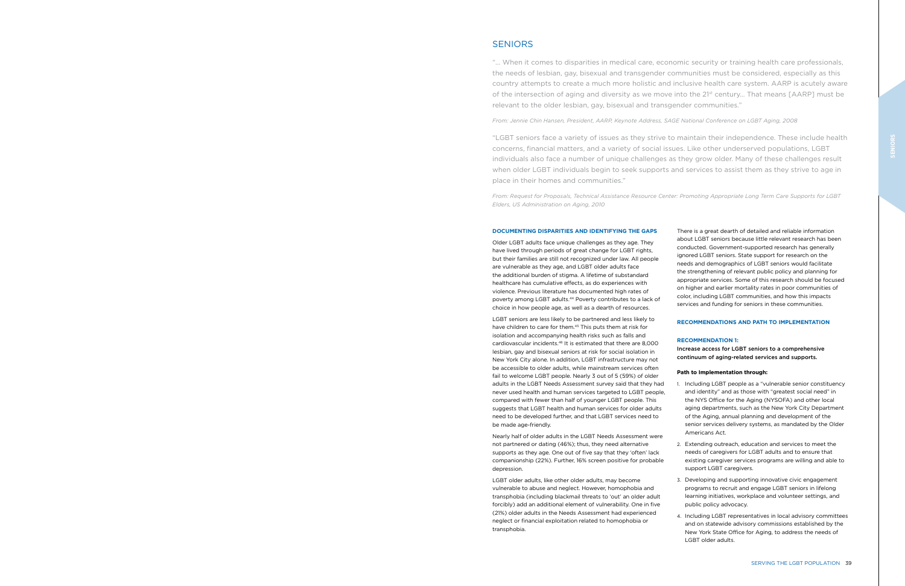Older LGBT adults face unique challenges as they age. They have lived through periods of great change for LGBT rights, but their families are still not recognized under law. All people are vulnerable as they age, and LGBT older adults face the additional burden of stigma. A lifetime of substandard healthcare has cumulative effects, as do experiences with violence. Previous literature has documented high rates of poverty among LGBT adults.<sup>44</sup> Poverty contributes to a lack of choice in how people age, as well as a dearth of resources.

LGBT seniors are less likely to be partnered and less likely to have children to care for them.45 This puts them at risk for isolation and accompanying health risks such as falls and cardiovascular incidents.46 It is estimated that there are 8,000 lesbian, gay and bisexual seniors at risk for social isolation in New York City alone. In addition, LGBT infrastructure may not be accessible to older adults, while mainstream services often fail to welcome LGBT people. Nearly 3 out of 5 (59%) of older adults in the LGBT Needs Assessment survey said that they had never used health and human services targeted to LGBT people, compared with fewer than half of younger LGBT people. This suggests that LGBT health and human services for older adults need to be developed further, and that LGBT services need to be made age-friendly.

Nearly half of older adults in the LGBT Needs Assessment were not partnered or dating (46%); thus, they need alternative supports as they age. One out of five say that they 'often' lack companionship (22%). Further, 16% screen positive for probable depression.

LGBT older adults, like other older adults, may become vulnerable to abuse and neglect. However, homophobia and transphobia (including blackmail threats to 'out' an older adult forcibly) add an additional element of vulnerability. One in five (21%) older adults in the Needs Assessment had experienced neglect or financial exploitation related to homophobia or transphobia.

There is a great dearth of detailed and reliable information about LGBT seniors because little relevant research has been conducted. Government-supported research has generally ignored LGBT seniors. State support for research on the needs and demographics of LGBT seniors would facilitate the strengthening of relevant public policy and planning for appropriate services. Some of this research should be focused on higher and earlier mortality rates in poor communities of color, including LGBT communities, and how this impacts services and funding for seniors in these communities.

### **RECOMMENDATIONS AND PATH TO IMPLEMENTATION**

#### **RECOMMENDATION 1:**

Increase access for LGBT seniors to a comprehensive continuum of aging-related services and supports.

#### **Path to Implementation through:**

1. Including LGBT people as a "vulnerable senior constituency and identity" and as those with "greatest social need" in the NYS Office for the Aging (NYSOFA) and other local aging departments, such as the New York City Department of the Aging, annual planning and development of the senior services delivery systems, as mandated by the Older Americans Act.

2. Extending outreach, education and services to meet the needs of caregivers for LGBT adults and to ensure that existing caregiver services programs are willing and able to support LGBT caregivers.

3. Developing and supporting innovative civic engagement programs to recruit and engage LGBT seniors in lifelong learning initiatives, workplace and volunteer settings, and public policy advocacy.

4. Including LGBT representatives in local advisory committees and on statewide advisory commissions established by the New York State Office for Aging, to address the needs of LGBT older adults.

# **SENIORS**

"… When it comes to disparities in medical care, economic security or training health care professionals, the needs of lesbian, gay, bisexual and transgender communities must be considered, especially as this country attempts to create a much more holistic and inclusive health care system. AARP is acutely aware of the intersection of aging and diversity as we move into the 21st century… That means [AARP] must be relevant to the older lesbian, gay, bisexual and transgender communities."

*From: Jennie Chin Hansen, President, AARP, Keynote Address, SAGE National Conference on LGBT Aging, 2008*

"LGBT seniors face a variety of issues as they strive to maintain their independence. These include health concerns, financial matters, and a variety of social issues. Like other underserved populations, LGBT individuals also face a number of unique challenges as they grow older. Many of these challenges result when older LGBT individuals begin to seek supports and services to assist them as they strive to age in place in their homes and communities."

*From: Request for Proposals, Technical Assistance Resource Center: Promoting Appropriate Long Term Care Supports for LGBT Elders, US Administration on Aging, 2010*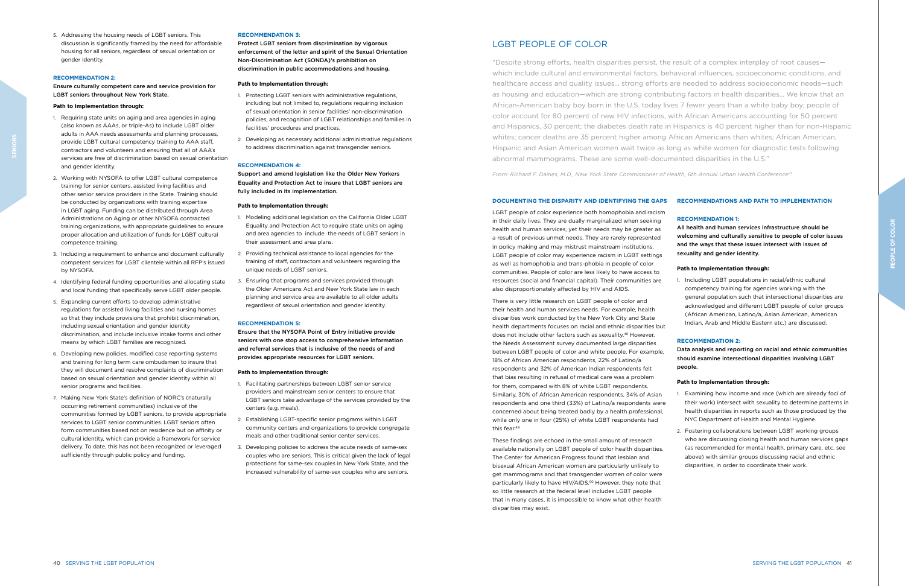There is very little research on LGBT people of color and their health and human services needs. For example, health disparities work conducted by the New York City and State health departments focuses on racial and ethnic disparities but does not include other factors such as sexuality.48 However, the Needs Assessment survey documented large disparities between LGBT people of color and white people. For example, 18% of African American respondents, 22% of Latino/a respondents and 32% of American Indian respondents felt that bias resulting in refusal of medical care was a problem for them, compared with 8% of white LGBT respondents. Similarly, 30% of African American respondents, 34% of Asian respondents and one third (33%) of Latino/a respondents were concerned about being treated badly by a health professional, while only one in four (25%) of white LGBT respondents had this fear.<sup>49</sup>

LGBT people of color experience both homophobia and racism in their daily lives. They are dually marginalized when seeking health and human services, yet their needs may be greater as a result of previous unmet needs. They are rarely represented in policy making and may mistrust mainstream institutions. LGBT people of color may experience racism in LGBT settings as well as homophobia and trans-phobia in people of color communities. People of color are less likely to have access to resources (social and financial capital). Their communities are also disproportionately affected by HIV and AIDS.

### **DOCUMENTING THE DISPARITY AND IDENTIFYING THE GAPS RECOMMENDATIONS AND PATH TO IMPLEMENTATION**

These findings are echoed in the small amount of research available nationally on LGBT people of color health disparities. The Center for American Progress found that lesbian and bisexual African American women are particularly unlikely to get mammograms and that transgender women of color were particularly likely to have HIV/AIDS.<sup>50</sup> However, they note that so little research at the federal level includes LGBT people that in many cases, it is impossible to know what other health disparities may exist.

#### **RECOMMENDATION 1:**

All health and human services infrastructure should be welcoming and culturally sensitive to people of color issues and the ways that these issues intersect with issues of sexuality and gender identity.

## **Path to Implementation through:**

1. Including LGBT populations in racial/ethnic cultural competency training for agencies working with the general population such that intersectional disparities are acknowledged and different LGBT people of color groups (African American, Latino/a, Asian American, American Indian, Arab and Middle Eastern etc.) are discussed.

#### **RECOMMENDATION 2:**

Data analysis and reporting on racial and ethnic communities should examine intersectional disparities involving LGBT people.

#### **Path to Implementation through:**

1. Examining how income and race (which are already foci of their work) intersect with sexuality to determine patterns in health disparities in reports such as those produced by the NYC Department of Health and Mental Hygiene.

2. Fostering collaborations between LGBT working groups who are discussing closing health and human services gaps (as recommended for mental health, primary care, etc. see above) with similar groups discussing racial and ethnic disparities, in order to coordinate their work.

5. Addressing the housing needs of LGBT seniors. This discussion is significantly framed by the need for affordable housing for all seniors, regardless of sexual orientation or gender identity.

#### **RECOMMENDATION 2:**

Ensure culturally competent care and service provision for LGBT seniors throughout New York State.

#### **Path to Implementation through:**

- 1. Requiring state units on aging and area agencies in aging (also known as AAAs, or triple-As) to include LGBT older adults in AAA needs assessments and planning processes, provide LGBT cultural competency training to AAA staff, contractors and volunteers and ensuring that all of AAA's services are free of discrimination based on sexual orientation and gender identity.
- 2. Working with NYSOFA to offer LGBT cultural competence training for senior centers, assisted living facilities and other senior service providers in the State. Training should be conducted by organizations with training expertise in LGBT aging. Funding can be distributed through Area Administrations on Aging or other NYSOFA contracted training organizations, with appropriate guidelines to ensure proper allocation and utilization of funds for LGBT cultural competence training.
- 3. Including a requirement to enhance and document culturally competent services for LGBT clientele within all RFP's issued by NYSOFA.
- 4. Identifying federal funding opportunities and allocating state and local funding that specifically serve LGBT older people.
- 5. Expanding current efforts to develop administrative regulations for assisted living facilities and nursing homes so that they include provisions that prohibit discrimination, including sexual orientation and gender identity discrimination, and include inclusive intake forms and other means by which LGBT families are recognized.
- 6. Developing new policies, modified case reporting systems and training for long term care ombudsmen to insure that they will document and resolve complaints of discrimination based on sexual orientation and gender identity within all senior programs and facilities.
- 7. Making New York State's definition of NORC's (naturally occurring retirement communities) inclusive of the communities formed by LGBT seniors, to provide appropriate services to LGBT senior communities. LGBT seniors often form communities based not on residence but on affinity or cultural identity, which can provide a framework for service delivery. To date, this has not been recognized or leveraged sufficiently through public policy and funding.

### **RECOMMENDATION 3:**

Protect LGBT seniors from discrimination by vigorous enforcement of the letter and spirit of the Sexual Orientation Non-Discrimination Act (SONDA)'s prohibition on discrimination in public accommodations and housing.

#### **Path to Implementation through:**

- 1. Protecting LGBT seniors with administrative regulations, including but not limited to, regulations requiring inclusion of sexual orientation in senior facilities' non-discrimination policies, and recognition of LGBT relationships and families in facilities' procedures and practices.
- 2. Developing as necessary additional administrative regulations to address discrimination against transgender seniors.

#### **RECOMMENDATION 4:**

Support and amend legislation like the Older New Yorkers Equality and Protection Act to insure that LGBT seniors are fully included in its implementation.

#### **Path to Implementation through:**

- 1. Modeling additional legislation on the California Older LGBT Equality and Protection Act to require state units on aging and area agencies to include the needs of LGBT seniors in their assessment and area plans.
- 2. Providing technical assistance to local agencies for the training of staff, contractors and volunteers regarding the unique needs of LGBT seniors.
- 3. Ensuring that programs and services provided through the Older Americans Act and New York State law in each planning and service area are available to all older adults regardless of sexual orientation and gender identity.

#### **RECOMMENDATION 5:**

Ensure that the NYSOFA Point of Entry initiative provide seniors with one stop access to comprehensive information and referral services that is inclusive of the needs of and provides appropriate resources for LGBT seniors.

#### **Path to Implementation through:**

- 1. Facilitating partnerships between LGBT senior service providers and mainstream senior centers to ensure that LGBT seniors take advantage of the services provided by the centers (e.g. meals).
- 2. Establishing LGBT-specific senior programs within LGBT community centers and organizations to provide congregate meals and other traditional senior center services.
- 3. Developing policies to address the acute needs of same-sex couples who are seniors. This is critical given the lack of legal protections for same-sex couples in New York State, and the increased vulnerability of same-sex couples who are seniors.

# LGBT PEOPLE OF COLOR

"Despite strong efforts, health disparities persist, the result of a complex interplay of root causes which include cultural and environmental factors, behavioral influences, socioeconomic conditions, and healthcare access and quality issues… strong efforts are needed to address socioeconomic needs—such as housing and education—which are strong contributing factors in health disparities… We know that an African-American baby boy born in the U.S. today lives 7 fewer years than a white baby boy; people of color account for 80 percent of new HIV infections, with African Americans accounting for 50 percent and Hispanics, 30 percent; the diabetes death rate in Hispanics is 40 percent higher than for non-Hispanic whites; cancer deaths are 35 percent higher among African Americans than whites; African American, Hispanic and Asian American women wait twice as long as white women for diagnostic tests following abnormal mammograms. These are some well-documented disparities in the U.S."

*From: Richard F. Daines, M.D., New York State Commissioner of Health, 6th Annual Urban Health Conference*<sup>47</sup>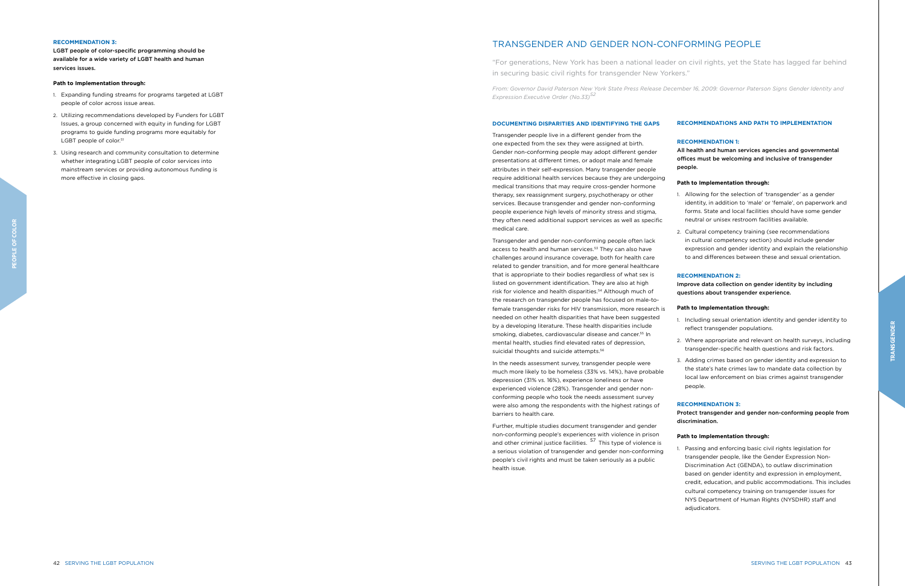Transgender and gender non-conforming people often lack access to health and human services.<sup>53</sup> They can also have challenges around insurance coverage, both for health care related to gender transition, and for more general healthcare that is appropriate to their bodies regardless of what sex is listed on government identification. They are also at high risk for violence and health disparities.54 Although much of the research on transgender people has focused on male-tofemale transgender risks for HIV transmission, more research is needed on other health disparities that have been suggested by a developing literature. These health disparities include smoking, diabetes, cardiovascular disease and cancer.<sup>55</sup> In mental health, studies find elevated rates of depression, suicidal thoughts and suicide attempts.<sup>56</sup>

Transgender people live in a different gender from the one expected from the sex they were assigned at birth. Gender non-conforming people may adopt different gender presentations at different times, or adopt male and female attributes in their self-expression. Many transgender people require additional health services because they are undergoing medical transitions that may require cross-gender hormone therapy, sex reassignment surgery, psychotherapy or other services. Because transgender and gender non-conforming people experience high levels of minority stress and stigma, they often need additional support services as well as specific medical care.

In the needs assessment survey, transgender people were much more likely to be homeless (33% vs. 14%), have probable depression (31% vs. 16%), experience loneliness or have experienced violence (28%). Transgender and gender nonconforming people who took the needs assessment survey were also among the respondents with the highest ratings of barriers to health care.

Further, multiple studies document transgender and gender non-conforming people's experiences with violence in prison and other criminal justice facilities.  $57$  This type of violence is a serious violation of transgender and gender non-conforming people's civil rights and must be taken seriously as a public health issue.

### **RECOMMENDATIONS AND PATH TO IMPLEMENTATION**

#### **RECOMMENDATION 1:**

All health and human services agencies and governmental offices must be welcoming and inclusive of transgender people.

#### **Path to Implementation through:**

1. Allowing for the selection of 'transgender' as a gender identity, in addition to 'male' or 'female', on paperwork and forms. State and local facilities should have some gender neutral or unisex restroom facilities available.

2. Cultural competency training (see recommendations in cultural competency section) should include gender expression and gender identity and explain the relationship to and differences between these and sexual orientation.

#### **RECOMMENDATION 2:**

Improve data collection on gender identity by including questions about transgender experience.

#### **Path to Implementation through:**

1. Including sexual orientation identity and gender identity to reflect transgender populations.

2. Where appropriate and relevant on health surveys, including transgender-specific health questions and risk factors.

3. Adding crimes based on gender identity and expression to the state's hate crimes law to mandate data collection by local law enforcement on bias crimes against transgender people.

#### **RECOMMENDATION 3:**

Protect transgender and gender non-conforming people from discrimination. **Path to Implementation through:** 1. Passing and enforcing basic civil rights legislation for transgender people, like the Gender Expression Non-Discrimination Act (GENDA), to outlaw discrimination based on gender identity and expression in employment, credit, education, and public accommodations. This includes cultural competency training on transgender issues for NYS Department of Human Rights (NYSDHR) staff and adjudicators.

#### **RECOMMENDATION 3:**

LGBT people of color-specific programming should be available for a wide variety of LGBT health and human services issues.

#### **Path to Implementation through:**

- 1. Expanding funding streams for programs targeted at LGBT people of color across issue areas.
- 2. Utilizing recommendations developed by Funders for LGBT Issues, a group concerned with equity in funding for LGBT programs to guide funding programs more equitably for LGBT people of color.<sup>51</sup>
- 3. Using research and community consultation to determine whether integrating LGBT people of color services into mainstream services or providing autonomous funding is more effective in closing gaps.

# TRANSGENDER AND GENDER NON-CONFORMING PEOPLE

"For generations, New York has been a national leader on civil rights, yet the State has lagged far behind in securing basic civil rights for transgender New Yorkers."

*From: Governor David Paterson New York State Press Release December 16, 2009: Governor Paterson Signs Gender Identity and Expression Executive Order (No.33)52*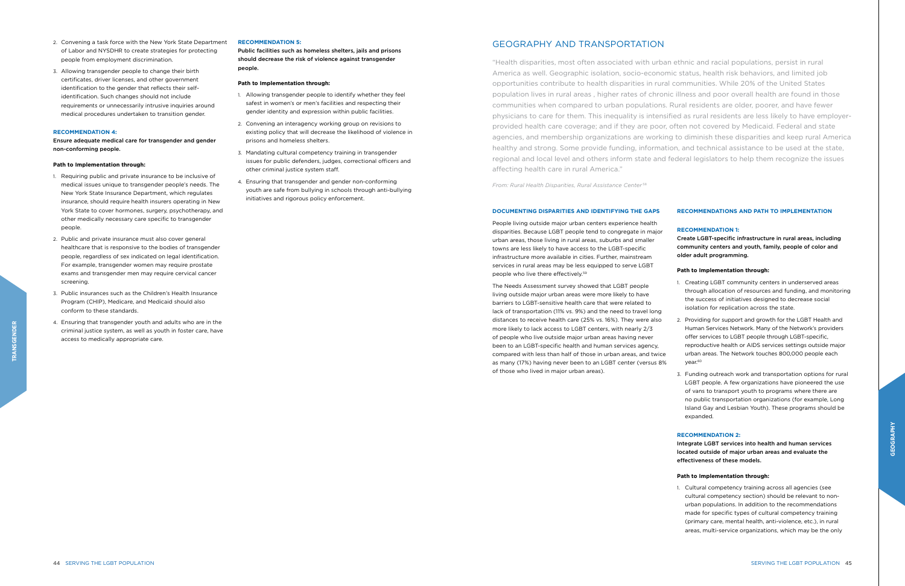People living outside major urban centers experience health disparities. Because LGBT people tend to congregate in major urban areas, those living in rural areas, suburbs and smaller towns are less likely to have access to the LGBT-specific infrastructure more available in cities. Further, mainstream services in rural areas may be less equipped to serve LGBT people who live there effectively.59

> 2. Providing for support and growth for the LGBT Health and Human Services Network. Many of the Network's providers offer services to LGBT people through LGBT-specific, reproductive health or AIDS services settings outside major urban areas. The Network touches 800,000 people each year.<sup>60</sup>

The Needs Assessment survey showed that LGBT people living outside major urban areas were more likely to have barriers to LGBT-sensitive health care that were related to lack of transportation (11% vs. 9%) and the need to travel long distances to receive health care (25% vs. 16%). They were also more likely to lack access to LGBT centers, with nearly 2/3 of people who live outside major urban areas having never been to an LGBT-specific health and human services agency, compared with less than half of those in urban areas, and twice as many (17%) having never been to an LGBT center (versus 8% of those who lived in major urban areas).

#### **RECOMMENDATIONS AND PATH TO IMPLEMENTATION**

#### **RECOMMENDATION 1:**

Create LGBT-specific infrastructure in rural areas, including community centers and youth, family, people of color and older adult programming.

#### **Path to Implementation through:**

1. Creating LGBT community centers in underserved areas through allocation of resources and funding, and monitoring the success of initiatives designed to decrease social isolation for replication across the state.

3. Funding outreach work and transportation options for rural LGBT people. A few organizations have pioneered the use of vans to transport youth to programs where there are no public transportation organizations (for example, Long Island Gay and Lesbian Youth). These programs should be expanded.

#### **RECOMMENDATION 2:**

Integrate LGBT services into health and human services located outside of major urban areas and evaluate the effectiveness of these models.

## **Path to Implementation through:**

- 
- 

1. Cultural competency training across all agencies (see cultural competency section) should be relevant to nonurban populations. In addition to the recommendations made for specific types of cultural competency training (primary care, mental health, anti-violence, etc.), in rural areas, multi-service organizations, which may be the only

- 2. Convening a task force with the New York State Department of Labor and NYSDHR to create strategies for protecting people from employment discrimination.
- 3. Allowing transgender people to change their birth certificates, driver licenses, and other government identification to the gender that reflects their selfidentification. Such changes should not include requirements or unnecessarily intrusive inquiries around medical procedures undertaken to transition gender.

#### **RECOMMENDATION 4:**

Ensure adequate medical care for transgender and gender non-conforming people.

#### **Path to Implementation through:**

- 1. Requiring public and private insurance to be inclusive of medical issues unique to transgender people's needs. The New York State Insurance Department, which regulates insurance, should require health insurers operating in New York State to cover hormones, surgery, psychotherapy, and other medically necessary care specific to transgender people.
- 2. Public and private insurance must also cover general healthcare that is responsive to the bodies of transgender people, regardless of sex indicated on legal identification. For example, transgender women may require prostate exams and transgender men may require cervical cancer screening.
- 3. Public insurances such as the Children's Health Insurance Program (CHIP), Medicare, and Medicaid should also conform to these standards.
- 4. Ensuring that transgender youth and adults who are in the criminal justice system, as well as youth in foster care, have access to medically appropriate care.

#### **RECOMMENDATION 5:**

Public facilities such as homeless shelters, jails and prisons should decrease the risk of violence against transgender people.

#### **Path to Implementation through:**

- 1. Allowing transgender people to identify whether they feel safest in women's or men's facilities and respecting their gender identity and expression within public facilities.
- 2. Convening an interagency working group on revisions to existing policy that will decrease the likelihood of violence in prisons and homeless shelters.
- 3. Mandating cultural competency training in transgender issues for public defenders, judges, correctional officers and other criminal justice system staff.
- 4. Ensuring that transgender and gender non-conforming youth are safe from bullying in schools through anti-bullying initiatives and rigorous policy enforcement.

# GEOGRAPHY AND TRANSPORTATION

"Health disparities, most often associated with urban ethnic and racial populations, persist in rural America as well. Geographic isolation, socio-economic status, health risk behaviors, and limited job opportunities contribute to health disparities in rural communities. While 20% of the United States population lives in rural areas , higher rates of chronic illness and poor overall health are found in those communities when compared to urban populations. Rural residents are older, poorer, and have fewer physicians to care for them. This inequality is intensified as rural residents are less likely to have employerprovided health care coverage; and if they are poor, often not covered by Medicaid. Federal and state agencies, and membership organizations are working to diminish these disparities and keep rural America healthy and strong. Some provide funding, information, and technical assistance to be used at the state, regional and local level and others inform state and federal legislators to help them recognize the issues affecting health care in rural America."

*From: Rural Health Disparities, Rural Assistance Center* <sup>58</sup>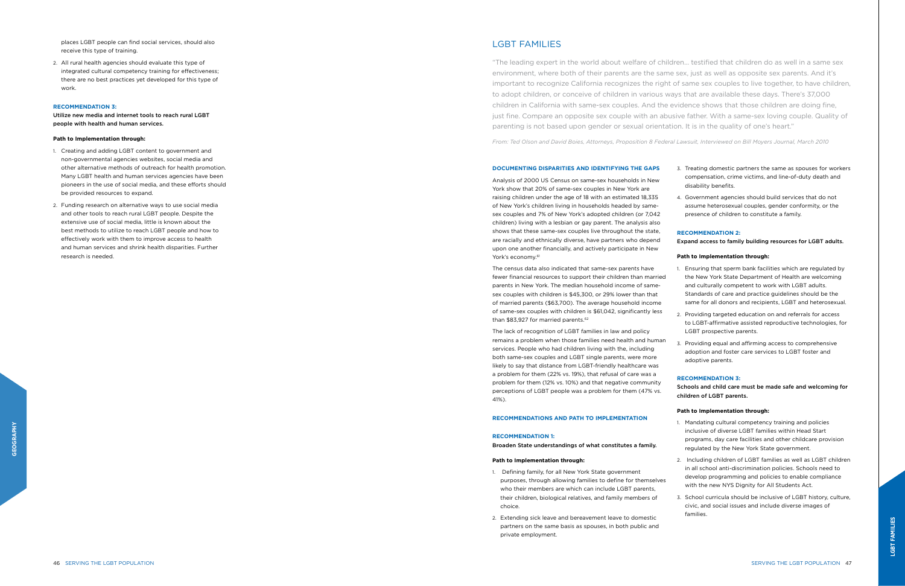of New York's children living in households headed by samesex couples and 7% of New York's adopted children (or 7,042 children) living with a lesbian or gay parent. The analysis also shows that these same-sex couples live throughout the state, are racially and ethnically diverse, have partners who depend upon one another financially, and actively participate in New York's economy.<sup>61</sup>

Analysis of 2000 US Census on same-sex households in New York show that 20% of same-sex couples in New York are raising children under the age of 18 with an estimated 18,335

The census data also indicated that same-sex parents have fewer financial resources to support their children than married parents in New York. The median household income of samesex couples with children is \$45,300, or 29% lower than that of married parents (\$63,700). The average household income of same-sex couples with children is \$61,042, significantly less than \$83,927 for married parents.<sup>62</sup>

The lack of recognition of LGBT families in law and policy remains a problem when those families need health and human services. People who had children living with the, including both same-sex couples and LGBT single parents, were more likely to say that distance from LGBT-friendly healthcare was a problem for them (22% vs. 19%), that refusal of care was a problem for them (12% vs. 10%) and that negative community perceptions of LGBT people was a problem for them (47% vs. 41%).

# **RECOMMENDATIONS AND PATH TO IMPLEMENTATION**

#### **RECOMMENDATION 1:**

Broaden State understandings of what constitutes a family.

#### **Path to Implementation through:**

- 1. Defining family, for all New York State government purposes, through allowing families to define for themselves who their members are which can include LGBT parents, their children, biological relatives, and family members of choice.
- 2. Extending sick leave and bereavement leave to domestic partners on the same basis as spouses, in both public and private employment.

3. Treating domestic partners the same as spouses for workers compensation, crime victims, and line-of-duty death and disability benefits.

4. Government agencies should build services that do not assume heterosexual couples, gender conformity, or the presence of children to constitute a family.

#### **RECOMMENDATION 2:**

Expand access to family building resources for LGBT adults.

### **Path to Implementation through:**

1. Ensuring that sperm bank facilities which are regulated by the New York State Department of Health are welcoming and culturally competent to work with LGBT adults. Standards of care and practice guidelines should be the same for all donors and recipients, LGBT and heterosexual.

2. Providing targeted education on and referrals for access to LGBT-affirmative assisted reproductive technologies, for LGBT prospective parents.

3. Providing equal and affirming access to comprehensive adoption and foster care services to LGBT foster and adoptive parents.

#### **RECOMMENDATION 3:**

Schools and child care must be made safe and welcoming for children of LGBT parents.

### **Path to Implementation through:**

1. Mandating cultural competency training and policies inclusive of diverse LGBT families within Head Start programs, day care facilities and other childcare provision regulated by the New York State government.

2. Including children of LGBT families as well as LGBT children in all school anti-discrimination policies. Schools need to develop programming and policies to enable compliance with the new NYS Dignity for All Students Act.

3. School curricula should be inclusive of LGBT history, culture, civic, and social issues and include diverse images of families.

places LGBT people can find social services, should also receive this type of training.

2. All rural health agencies should evaluate this type of integrated cultural competency training for effectiveness; there are no best practices yet developed for this type of work.

#### **RECOMMENDATION 3:**

Utilize new media and internet tools to reach rural LGBT people with health and human services.

#### **Path to Implementation through:**

- 1. Creating and adding LGBT content to government and non-governmental agencies websites, social media and other alternative methods of outreach for health promotion. Many LGBT health and human services agencies have been pioneers in the use of social media, and these efforts should be provided resources to expand.
- 2. Funding research on alternative ways to use social media and other tools to reach rural LGBT people. Despite the extensive use of social media, little is known about the best methods to utilize to reach LGBT people and how to effectively work with them to improve access to health and human services and shrink health disparities. Further research is needed.

# LGBT FAMILIES

"The leading expert in the world about welfare of children… testified that children do as well in a same sex environment, where both of their parents are the same sex, just as well as opposite sex parents. And it's important to recognize California recognizes the right of same sex couples to live together, to have children, to adopt children, or conceive of children in various ways that are available these days. There's 37,000 children in California with same-sex couples. And the evidence shows that those children are doing fine, just fine. Compare an opposite sex couple with an abusive father. With a same-sex loving couple. Quality of parenting is not based upon gender or sexual orientation. It is in the quality of one's heart."

*From: Ted Olson and David Boies, Attorneys, Proposition 8 Federal Lawsuit, Interviewed on Bill Moyers Journal, March 2010*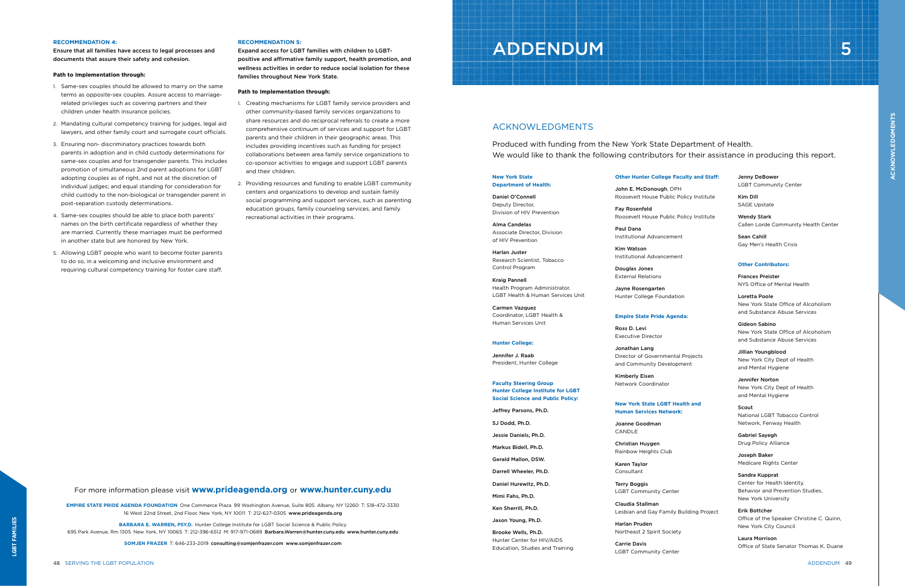#### **RECOMMENDATION 4:**

Ensure that all families have access to legal processes and documents that assure their safety and cohesion.

#### **Path to Implementation through:**

- 1. Same-sex couples should be allowed to marry on the same terms as opposite-sex couples. Assure access to marriagerelated privileges such as covering partners and their children under health insurance policies.
- 2. Mandating cultural competency training for judges, legal aid lawyers, and other family court and surrogate court officials.
- 3. Ensuring non- discriminatory practices towards both parents in adoption and in child custody determinations for same-sex couples and for transgender parents. This includes promotion of simultaneous 2nd parent adoptions for LGBT adopting couples as of right, and not at the discretion of individual judges; and equal standing for consideration for child custody to the non-biological or transgender parent in post-separation custody determinations.
- 4. Same-sex couples should be able to place both parents' names on the birth certificate regardless of whether they are married. Currently these marriages must be performed in another state but are honored by New York.
- 5. Allowing LGBT people who want to become foster parents to do so, in a welcoming and inclusive environment and requiring cultural competency training for foster care staff.

#### **RECOMMENDATION 5:**

Expand access for LGBT families with children to LGBTpositive and affirmative family support, health promotion, and wellness activities in order to reduce social isolation for these families throughout New York State.

#### **Path to Implementation through:**

- 1. Creating mechanisms for LGBT family service providers and other community-based family services organizations to share resources and do reciprocal referrals to create a more comprehensive continuum of services and support for LGBT parents and their children in their geographic areas. This includes providing incentives such as funding for project collaborations between area family service organizations to co-sponsor activities to engage and support LGBT parents and their children.
- 2. Providing resources and funding to enable LGBT community centers and organizations to develop and sustain family social programming and support services, such as parenting education groups, family counseling services, and family recreational activities in their programs.

# ADDENDUM III III III III III III III III II 5

For more information please visit **www.prideagenda.org** or **www.hunter.cuny.edu**

**EMPIRE STATE PRIDE AGENDA FOUNDATION** One Commerce Plaza 99 Washington Avenue, Suite 805 Albany, NY 12260 T: 518-472-3330 16 West 22nd Street, 2nd Floor, New York, NY 10011 T: 212-627-0305 www.prideagenda.org

**BARBARA E. WARREN, PSY.D.** Hunter College Institute for LGBT Social Science & Public Policy

695 Park Avenue, Rm 1305 New York, NY 10065 T: 212-396-6512 M: 917-971-0689 Barbara.Warren@hunter.cuny.edu www.hunter.cuny.edu

**SOMJEN FRAZER** T: 646-233-2019 consulting@somjenfrazer.com www.somjenfrazer.com

#### **New York State Department of Health:**

Daniel O'Connell Deputy Director, Division of HIV Prevention

Alma Candelas Associate Director, Division of HIV Prevention

Harlan Juster Research Scientist, Tobacco Control Program

Kraig Pannell Health Program Administrator, LGBT Health & Human Services Unit

Carmen Vazquez Coordinator, LGBT Health & Human Services Unit

#### **Hunter College:**

Jennifer J. Raab President, Hunter College

**Faculty Steering Group Hunter College Institute for LGBT Social Science and Public Policy:**

Jeffrey Parsons, Ph.D.

SJ Dodd, Ph.D.

Jessie Daniels, Ph.D.

Markus Bidell, Ph.D.

Gerald Mallon, DSW.

Darrell Wheeler, Ph.D.

Daniel Hurewitz, Ph.D.

Mimi Fahs, Ph.D.

Ken Sherrill, Ph.D.

Jason Young, Ph.D. Brooke Wells, Ph.D.

Hunter Center for HIV/AIDS Education, Studies and Training

### **Other Hunter College Faculty and Staff:**

John E. McDonough, DPH Roosevelt House Public Policy Institute

Fay Rosenfeld Roosevelt House Public Policy Institute

Paul Dana Institutional Advancement

Kim Watson Institutional Advancement

Douglas Jones External Relations

Jayne Rosengarten Hunter College Foundation

#### **Empire State Pride Agenda:**

Ross D. Levi Executive Director

Jonathan Lang Director of Governmental Projects and Community Development

Kimberly Eisen Network Coordinator

#### **New York State LGBT Health and Human Services Network:**

Joanne Goodman CANDLE

Christian Huygen Rainbow Heights Club

Karen Taylor Consultant

Terry Boggis LGBT Community Center

Claudia Stallman Lesbian and Gay Family Building Project

Harlan Pruden Northeast 2 Spirit Society

Carrie Davis LGBT Community Center

Jenny DeBower LGBT Community Center

Kim Dill SAGE Upstate

Wendy Stark Callen Lorde Community Health Center

> Sean Cahill Gay Men's Health Crisis

### **Other Contributors:**

Frances Preister NYS Office of Mental Health

Loretta Poole New York State Office of Alcoholism and Substance Abuse Services

Gideon Sabino New York State Office of Alcoholism and Substance Abuse Services

Jillian Youngblood New York City Dept of Health and Mental Hygiene

Jennifer Norton New York City Dept of Health and Mental Hygiene

Scout National LGBT Tobacco Control Network, Fenway Health

Gabriel Sayegh Drug Policy Alliance

Joseph Baker Medicare Rights Center

Sandra Kupprat Center for Health Identity, Behavior and Prevention Studies, New York University

Erik Bottcher Office of the Speaker Christine C. Quinn, New York City Council

> Laura Morrison Office of State Senator Thomas K. Duane

# ACKNOWLEDGMENTS

Produced with funding from the New York State Department of Health. We would like to thank the following contributors for their assistance in producing this report.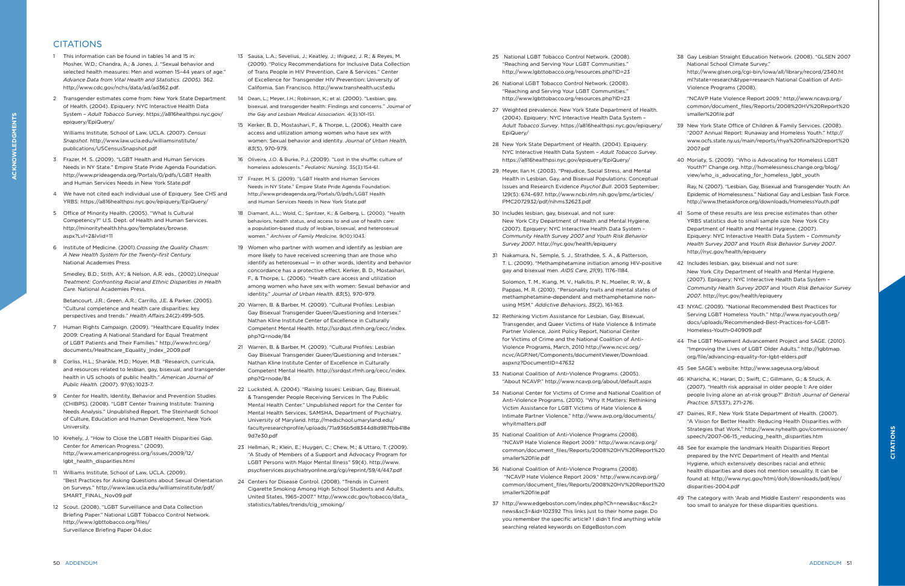- ay Lesbian Straight Education Network. (2008). "GLSEN 2007 National School Climate Survey."
- http://www.glsen.org/cgi-bin/iowa/all/library/record/2340.ht ml?state=research&type=research National Coalition of Anti-Violence Programs (2008).
- NCAVP Hate Violence Report 2009." http://www.ncavp.org/ common/document\_files/Reports/2008%20HV%20Report%20 maller%20file.pdf
- lew York State Office of Children & Family Services. (2008). "2007 Annual Report: Runaway and Homeless Youth." http:// www.ocfs.state.ny.us/main/reports/rhya%20final%20report%20 2007.pdf
- 10 Moriaty, S. (2009). "Who is Advocating for Homeless LGBT Youth?" Change.org. http://homelessness.change.org/blog/ iew/who\_is\_advocating\_for\_homeless\_lgbt\_youth
- lay, N. (2007). "Lesbian, Gay, Bisexual and Transgender Youth: An Epidemic of Homelessness." National Gay and Lesbian Task Force. http://www.thetaskforce.org/downloads/HomelessYouth.pdf
- Some of these results are less precise estimates than other YRBS statistics due to small sample size. New York City Department of Health and Mental Hygiene. (2007). Epiquery: NYC Interactive Health Data System – *Community Health Survey 2007* and *Youth Risk Behavior Survey 2007*. http://nyc.gov/health/epiquery
- ncludes lesbian, gay, bisexual and not sure: lew York City Department of Health and Mental Hygiene. (2007). Epiquery: NYC Interactive Health Data System – *Community Health Survey 2007* and *Youth Risk Behavior Survey 2007*. http://nyc.gov/health/epiquery
- 43 NYAC. (2009). "National Recommended Best Practices for Serving LGBT Homeless Youth." http://www.nyacyouth.org/ docs/uploads/Recommended-Best-Practices-for-LGBT-Homeless-Youth-040909.pdf
- he LGBT Movement Advancement Project and SAGE. (2010). Improving the Lives of LGBT Older Adults." http://lgbtmap. org/file/advancing-equality-for-lgbt-elders.pdf
- 45 See SAGE's website: http://www.sageusa.org/about
- (haricha, K.; Harari, D.; Swift, C.; Gillmann, G.; & Stuck, A. (2007). "Health risk appraisal in older people 1: Are older people living alone an at-risk group?" *British Journal of General Practice. 57*(537), 271-276.
- aines, R.F., New York State Department of Health. (2007). A Vision for Better Health: Reducing Health Disparities with Strategies that Work." http://www.nyhealth.gov/commissioner/ speech/2007-06-15\_reducing\_health\_disparities.htm
- ee for example the landmark Health Disparities Report prepared by the NYC Department of Health and Mental lygiene, which extensively describes racial and ethnic health disparities and does not mention sexuality. It can be ound at: http://www.nyc.gov/html/doh/downloads/pdf/epi/ lisparities-2004.pdf
- he category with 'Arab and Middle Eastern' respondents was too small to analyze for these disparities questions.

# **CITATIONS**

- 1 This information can be found in tables 14 and 15 in: Mosher, W.D.; Chandra, A.; & Jones, J. "Sexual behavior and selected health measures: Men and women 15–44 years of age." *Advance Data from Vital Health and Statistics. (2005).* 362. http://www.cdc.gov/nchs/data/ad/ad362.pdf.
- 2 Transgender estimates come from: New York State Department of Health. (2004). Epiquery: NYC Interactive Health Data System – *Adult Tobacco Survey*. https://a816healthpsi.nyc.gov/ epiquery/EpiQuery/

Williams Institute, School of Law, UCLA. (2007). *Census Snapshot.* http://www.law.ucla.edu/williamsinstitute/ publications/USCensusSnapshot.pdf

- 3 Frazer, M. S. (2009). "LGBT Health and Human Services Needs in NY State." Empire State Pride Agenda Foundation. http://www.prideagenda.org/Portals/0/pdfs/LGBT Health and Human Services Needs in New York State.pdf
- 4 We have not cited each individual use of Epiquery. See CHS and YRBS: https://a816healthpsi.nyc.gov/epiquery/EpiQuery/
- 5 Office of Minority Health. (2005). "What Is Cultural Competency?" U.S. Dept. of Health and Human Services. http://minorityhealth.hhs.gov/templates/browse. aspx?Lvl=2&lvlid=11
- 6 Institute of Medicine. (2001).*Crossing the Quality Chasm: A New Health System for the Twenty-first Century.* National Academies Press.

Smedley, B.D.; Stith, A.Y.; & Nelson, A.R. eds., (2002).*Unequal Treatment: Confronting Racial and Ethnic Disparities in Health Care.* National Academies Press.

Betancourt, J.R.; Green, A.R.; Carrillo, J.E. & Parker. (2005). "Cultural competence and health care disparities: key perspectives and trends." *Health Affairs.*24(2):499-505.

- 7 Human Rights Campaign. (2009). "Healthcare Equality Index 2009: Creating A National Standard for Equal Treatment of LGBT Patients and Their Families." http://www.hrc.org/ documents/Healthcare\_Equality\_Index\_2009.pdf
- 8 Corliss, H.L.; Shankle, M.D.; Moyer, M.B. "Research, curricula, and resources related to lesbian, gay, bisexual, and transgender health in US schools of public health." *American Journal of Public Health.* (2007). 97(6):1023-7.
- 9 Center for Health, Identity, Behavior and Prevention Studies (CHIBPS). (2008). "LGBT Center Training Institute: Training Needs Analysis." Unpublished Report, The Steinhardt School of Culture, Education and Human Development, New York **University**
- 10 Krehely, J. "How to Close the LGBT Health Disparities Gap, Center for American Progress." (2009). http://www.americanprogress.org/issues/2009/12/ lgbt\_health\_disparities.html
- 11 Williams Institute, School of Law, UCLA. (2009). "Best Practices for Asking Questions about Sexual Orientation on Surveys." http://www.law.ucla.edu/williamsinstitute/pdf/ SMART\_FINAL\_Nov09.pdf
- 12 Scout. (2008). "LGBT Surveillance and Data Collection Briefing Paper." National LGBT Tobacco Control Network. http://www.lgbttobacco.org/files/ Surveillance Briefing Paper 04.doc
- 13 Sausa, L.A.; Sevelius, J.; Keatley, J.; Iñiguez, J. R.; & Reyes, M. (2009). "Policy Recommendations for Inclusive Data Collection of Trans People in HIV Prevention, Care & Services." Center of Excellence for Transgender HIV Prevention: University of California, San Francisco. http://www.transhealth.ucsf.edu
- 14 Dean, L.; Meyer, I.H.; Robinson, K.; et al. (2000). "Lesbian, gay, bisexual, and transgender health: Findings and concerns." *Journal of the Gay and Lesbian Medical Association*. 4(3):101-151.
- 15 Kerker, B. D., Mostashari, F., & Thorpe, L. (2006). Health care access and utilization among women who have sex with women: Sexual behavior and identity. *Journal of Urban Health, 83*(5), 970-979.
- 16 Oliveira, J.O. & Burke, P.J. (2009). "Lost in the shuffle: culture of homeless adolescents." *Pediatric Nursing*. 35(3):154-61.
- 17 Frazer, M. S. (2009). "LGBT Health and Human Services Needs in NY State." Empire State Pride Agenda Foundation. http://www.prideagenda.org/Portals/0/pdfs/LGBT Health and Human Services Needs in New York State ndf
- 18 Diamant, A.L.; Wold, C.; Spritzer, K.; & Gelberg, L. (2000). "Health behaviors, health status, and access to and use of health care: a population-based study of lesbian, bisexual, and heterosexual women." *Archives of Family Medicine.* 9(10):1043.
- 19 Women who partner with women and identify as lesbian are more likely to have received screening than are those who identify as heterosexual — in other words, identity and behavior concordance has a protective effect. Kerker, B. D., Mostashari, F., & Thorpe, L. (2006). "Health care access and utilization among women who have sex with women: Sexual behavior and identity." *Journal of Urban Health. 83*(5), 970-979.
- 20 Warren, B. & Barber, M. (2009). "Cultural Profiles: Lesbian Gay Bisexual Transgender Queer/Questioning and Intersex." Nathan Kline Institute Center of Excellence in Culturally Competent Mental Health. http://ssrdqst.rfmh.org/cecc/index. php?Q=node/84
- 21 Warren, B. & Barber, M. (2009). "Cultural Profiles: Lesbian Gay Bisexual Transgender Queer/Questioning and Intersex." Nathan Kline Institute Center of Excellence in Culturally Competent Mental Health. http://ssrdqst.rfmh.org/cecc/index. php?Q=node/84
- 22 Lucksted, A. (2004). "Raising Issues: Lesbian, Gay, Bisexual, & Transgender People Receiving Services In The Public Mental Health Center." Unpublished report for the Center for Mental Health Services, SAMSHA, Department of Psychiatry, University of Maryland. http://medschool.umaryland.edu/ facultyresearchprofile/uploads/71a936b5d8344d8d987fbb418e 9d7e30.pdf
- 23 Hellman, R.; Klein, E.; Huygen, C.; Chew, M.; & Uttaro, T. (2009). "A Study of Members of a Support and Advocacy Program for LGBT Persons with Major Mental Illness" 59(4). http://www. psychservices.psychiatryonline.org/cgi/reprint/59/4/447.pdf
- 24 Centers for Disease Control. (2008). "Trends in Current Cigarette Smoking Among High School Students and Adults, United States, 1965–2007." http://www.cdc.gov/tobacco/data\_ statistics/tables/trends/cig\_smoking/

| 25 | National LGBT Tobacco Control Network. (2008).<br>"Reaching and Serving Your LGBT Communities."<br>http://www.lgbttobacco.org/resources.php?ID=23                                                                                                                                                                                                                                     | 38 G         | N<br>h                  |
|----|---------------------------------------------------------------------------------------------------------------------------------------------------------------------------------------------------------------------------------------------------------------------------------------------------------------------------------------------------------------------------------------|--------------|-------------------------|
|    | 26 National LGBT Tobacco Control Network. (2008).<br>"Reaching and Serving Your LGBT Communities."<br>http://www.lgbttobacco.org/resources.php?ID=23                                                                                                                                                                                                                                  |              | m<br>٧<br>"             |
|    | 27 Weighted prevalence. New York State Department of Health.<br>(2004). Epiquery: NYC Interactive Health Data System -<br>Adult Tobacco Survey. https://a816healthpsi.nyc.gov/epiquery/<br>EpiQuery/                                                                                                                                                                                  | 39 N         | С<br>SI<br>"            |
|    | 28 New York State Department of Health. (2004). Epiquery:<br>NYC Interactive Health Data System - Adult Tobacco Survey.<br>https://a816healthpsi.nyc.gov/epiquery/EpiQuery/                                                                                                                                                                                                           | 40 M         | W<br>2                  |
|    | 29 Meyer, Ilan H. (2003). "Prejudice, Social Stress, and Mental<br>Health in Lesbian, Gay, and Bisexual Populations: Conceptual<br>Issues and Research Evidence Psychol Bull. 2003 September;<br>129(5): 674-697. http://www.ncbi.nlm.nih.gov/pmc/articles/<br>PMC2072932/pdf/nihms32623.pdf                                                                                          |              | Υ<br>V<br>R<br>Ε<br>h   |
|    | 30 Includes lesbian, gay, bisexual, and not sure:<br>New York City Department of Health and Mental Hygiene.<br>(2007). Epiquery: NYC Interactive Health Data System -<br>Community Health Survey 2007 and Youth Risk Behavior<br>Survey 2007. http://nyc.gov/health/epiquery                                                                                                          | 41           | - S<br>Υ<br>D<br>Ε<br>H |
| 31 | Nakamura, N., Semple, S. J., Strathdee, S. A., & Patterson,<br>T. L. (2009). "Methamphetamine initiation among HIV-positive<br>gay and bisexual men. AIDS Care, 21(9), 1176-1184.                                                                                                                                                                                                     | 42 Ir        | h<br>N                  |
|    | Solomon, T. M., Kiang, M. V., Halkitis, P. N., Moeller, R. W., &<br>Pappas, M. R. (2010). "Personality traits and mental states of<br>methamphetamine-dependent and methamphetamine non-<br>using MSM." Addictive Behaviors, 35(2), 161-163.                                                                                                                                          | 43 N         | $\mathcal{C}$<br>C<br>2 |
|    | 32 Rethinking Victim Assistance for Lesbian, Gay, Bisexual,<br>Transgender, and Queer Victims of Hate Violence & Intimate<br>Partner Violence, Joint Policy Report, National Center<br>for Victims of Crime and the National Coalition of Anti-<br>Violence Programs, March, 2010 http://www.ncvc.org/<br>ncvc/AGP.Net/Components/documentViewer/Download.<br>aspxnz?DocumentID=47632 | 44 T         | S<br>d<br>Н<br>"<br>О   |
|    | 33 National Coalition of Anti-Violence Programs. (2005).<br>"About NCAVP." http://www.ncavp.org/about/default.aspx                                                                                                                                                                                                                                                                    | 45 S<br>46 K |                         |
|    | 34 National Center for Victims of Crime and National Coalition of<br>Anti-Violence Programs. (2010). "Why It Matters: Rethinking<br>Victim Assistance for LGBT Victims of Hate Violence &<br>Intimate Partner Violence." http://www.avp.org/documents/                                                                                                                                | 47 D         | C,<br>р<br>P<br>$\lq$   |
|    | whyitmatters.pdf<br>35 National Coalition of Anti-Violence Programs (2008).<br>"NCAVP Hate Violence Report 2009." http://www.ncavp.org/<br>common/document_files/Reports/2008%20HV%20Report%20<br>smaller%20file.pdf                                                                                                                                                                  | 48 S         | S<br>S <br>р            |
|    | 36 National Coalition of Anti-Violence Programs (2008).<br>"NCAVP Hate Violence Report 2009." http://www.ncavp.org/<br>common/document_files/Reports/2008%20HV%20Report%20<br>smaller%20file.pdf                                                                                                                                                                                      |              | Н<br>h<br>fc<br>d       |
| 37 | http://www.edgeboston.com/index.php?Ch=news≻=&sc2=                                                                                                                                                                                                                                                                                                                                    | 49 T         | to                      |

news&sc3=&id=102392 This links just to their home page. Do you remember the specific article? I didn't find anything while searching related keywords on EdgeBoston.com